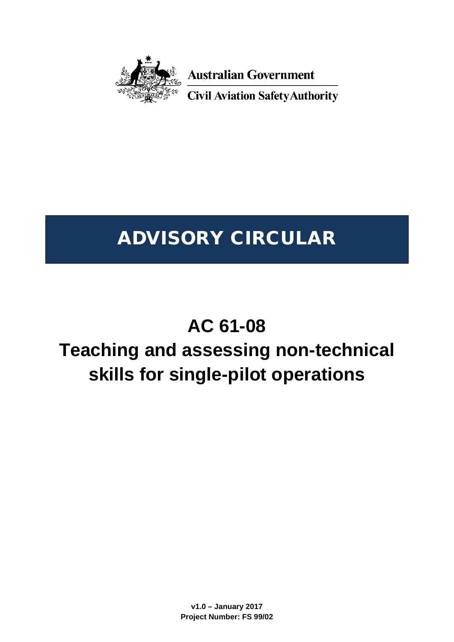

**Australian Government** 

**Civil Aviation Safety Authority** 

# ADVISORY CIRCULAR

# **AC 61-08**

# **Teaching and assessing non-technical skills for single-pilot operations**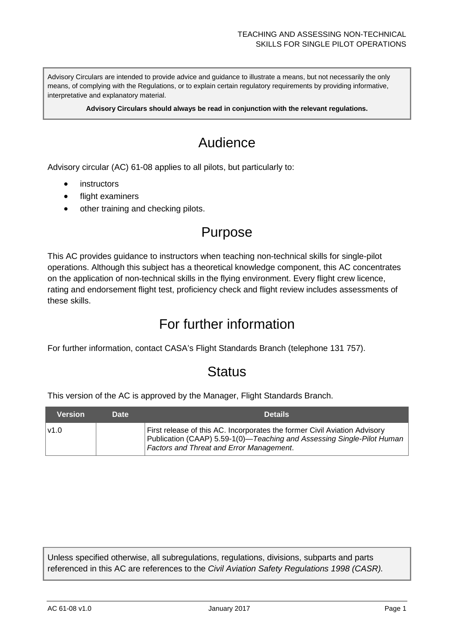Advisory Circulars are intended to provide advice and guidance to illustrate a means, but not necessarily the only means, of complying with the Regulations, or to explain certain regulatory requirements by providing informative, interpretative and explanatory material.

**Advisory Circulars should always be read in conjunction with the relevant regulations.**

# Audience

Advisory circular (AC) 61-08 applies to all pilots, but particularly to:

- **instructors**
- flight examiners
- other training and checking pilots.

# Purpose

This AC provides guidance to instructors when teaching non-technical skills for single-pilot operations. Although this subject has a theoretical knowledge component, this AC concentrates on the application of non-technical skills in the flying environment. Every flight crew licence, rating and endorsement flight test, proficiency check and flight review includes assessments of these skills.

# For further information

For further information, contact CASA's Flight Standards Branch (telephone 131 757).

# **Status**

This version of the AC is approved by the Manager, Flight Standards Branch.

| Version | <b>Date</b> | <b>Details</b>                                                                                                                                                                                         |
|---------|-------------|--------------------------------------------------------------------------------------------------------------------------------------------------------------------------------------------------------|
| v1.0    |             | First release of this AC. Incorporates the former Civil Aviation Advisory<br>Publication (CAAP) 5.59-1(0)—Teaching and Assessing Single-Pilot Human<br><b>Factors and Threat and Error Management.</b> |

Unless specified otherwise, all subregulations, regulations, divisions, subparts and parts referenced in this AC are references to the *Civil Aviation Safety Regulations 1998 (CASR).*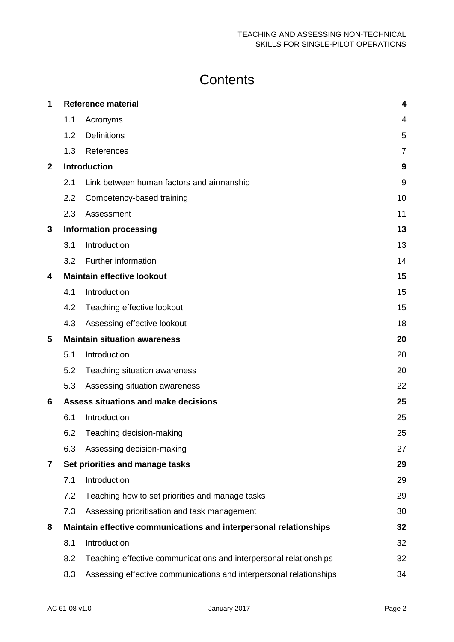# **Contents**

| 1              |     | <b>Reference material</b>                                          | 4              |
|----------------|-----|--------------------------------------------------------------------|----------------|
|                | 1.1 | Acronyms                                                           | 4              |
|                | 1.2 | <b>Definitions</b>                                                 | 5              |
|                | 1.3 | References                                                         | $\overline{7}$ |
| $\overline{2}$ |     | <b>Introduction</b>                                                | 9              |
|                | 2.1 | Link between human factors and airmanship                          | 9              |
|                | 2.2 | Competency-based training                                          | 10             |
|                | 2.3 | Assessment                                                         | 11             |
| 3              |     | <b>Information processing</b>                                      | 13             |
|                | 3.1 | Introduction                                                       | 13             |
|                | 3.2 | Further information                                                | 14             |
| 4              |     | <b>Maintain effective lookout</b>                                  | 15             |
|                | 4.1 | Introduction                                                       | 15             |
|                | 4.2 | Teaching effective lookout                                         | 15             |
|                | 4.3 | Assessing effective lookout                                        | 18             |
| 5              |     | <b>Maintain situation awareness</b>                                | 20             |
|                | 5.1 | Introduction                                                       | 20             |
|                | 5.2 | Teaching situation awareness                                       | 20             |
|                | 5.3 | Assessing situation awareness                                      | 22             |
| 6              |     | Assess situations and make decisions                               | 25             |
|                | 6.1 | Introduction                                                       | 25             |
|                | 6.2 | Teaching decision-making                                           | 25             |
|                | 6.3 | Assessing decision-making                                          | 27             |
| 7              |     | Set priorities and manage tasks                                    | 29             |
|                | 7.1 | Introduction                                                       | 29             |
|                | 7.2 | Teaching how to set priorities and manage tasks                    | 29             |
|                | 7.3 | Assessing prioritisation and task management                       | 30             |
| 8              |     | Maintain effective communications and interpersonal relationships  | 32             |
|                | 8.1 | Introduction                                                       | 32             |
|                | 8.2 | Teaching effective communications and interpersonal relationships  | 32             |
|                | 8.3 | Assessing effective communications and interpersonal relationships | 34             |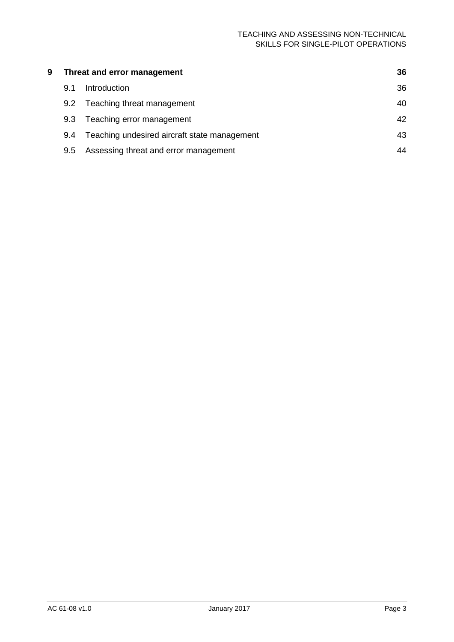| 9 | Threat and error management |                                              | 36 |
|---|-----------------------------|----------------------------------------------|----|
|   | 9.1                         | Introduction                                 | 36 |
|   | $9.2^{\circ}$               | Teaching threat management                   | 40 |
|   | 9.3                         | Teaching error management                    | 42 |
|   | 9.4                         | Teaching undesired aircraft state management | 43 |
|   | 9.5                         | Assessing threat and error management        | 44 |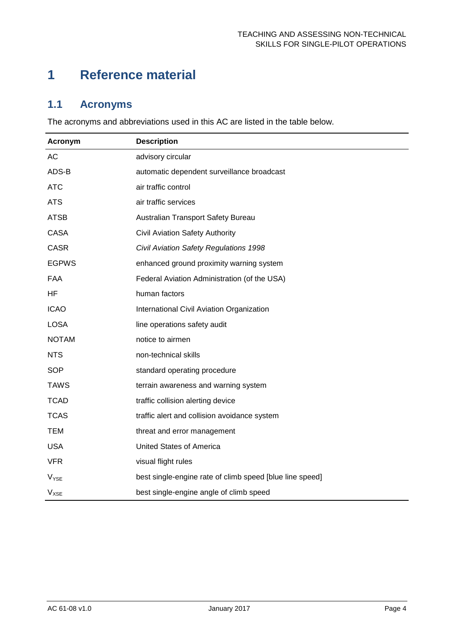# <span id="page-4-0"></span>**1 Reference material**

# <span id="page-4-1"></span>**1.1 Acronyms**

The acronyms and abbreviations used in this AC are listed in the table below.

<span id="page-4-2"></span>

| Acronym          | <b>Description</b>                                       |
|------------------|----------------------------------------------------------|
| <b>AC</b>        | advisory circular                                        |
| ADS-B            | automatic dependent surveillance broadcast               |
| <b>ATC</b>       | air traffic control                                      |
| <b>ATS</b>       | air traffic services                                     |
| <b>ATSB</b>      | Australian Transport Safety Bureau                       |
| <b>CASA</b>      | <b>Civil Aviation Safety Authority</b>                   |
| <b>CASR</b>      | Civil Aviation Safety Regulations 1998                   |
| <b>EGPWS</b>     | enhanced ground proximity warning system                 |
| <b>FAA</b>       | Federal Aviation Administration (of the USA)             |
| HF               | human factors                                            |
| <b>ICAO</b>      | International Civil Aviation Organization                |
| <b>LOSA</b>      | line operations safety audit                             |
| <b>NOTAM</b>     | notice to airmen                                         |
| <b>NTS</b>       | non-technical skills                                     |
| <b>SOP</b>       | standard operating procedure                             |
| <b>TAWS</b>      | terrain awareness and warning system                     |
| <b>TCAD</b>      | traffic collision alerting device                        |
| <b>TCAS</b>      | traffic alert and collision avoidance system             |
| <b>TEM</b>       | threat and error management                              |
| <b>USA</b>       | <b>United States of America</b>                          |
| <b>VFR</b>       | visual flight rules                                      |
| $V_{\text{YSE}}$ | best single-engine rate of climb speed [blue line speed] |
| $V_{XSE}$        | best single-engine angle of climb speed                  |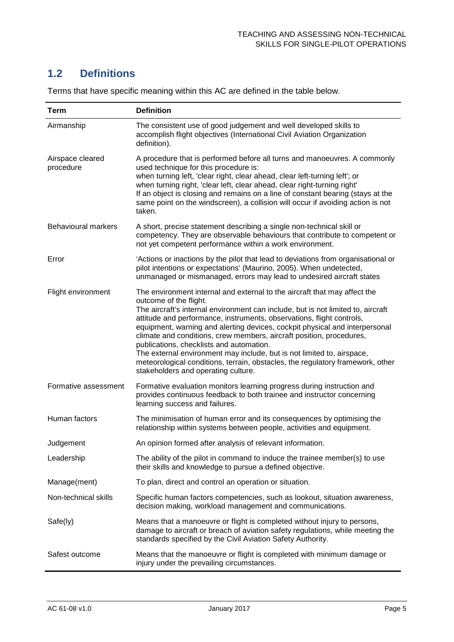# **1.2 Definitions**

| Term                          | <b>Definition</b>                                                                                                                                                                                                                                                                                                                                                                                                                                                                                                                                                                                                                                                      |
|-------------------------------|------------------------------------------------------------------------------------------------------------------------------------------------------------------------------------------------------------------------------------------------------------------------------------------------------------------------------------------------------------------------------------------------------------------------------------------------------------------------------------------------------------------------------------------------------------------------------------------------------------------------------------------------------------------------|
| Airmanship                    | The consistent use of good judgement and well developed skills to<br>accomplish flight objectives (International Civil Aviation Organization<br>definition).                                                                                                                                                                                                                                                                                                                                                                                                                                                                                                           |
| Airspace cleared<br>procedure | A procedure that is performed before all turns and manoeuvres. A commonly<br>used technique for this procedure is:<br>when turning left, 'clear right, clear ahead, clear left-turning left'; or<br>when turning right, 'clear left, clear ahead, clear right-turning right'<br>If an object is closing and remains on a line of constant bearing (stays at the<br>same point on the windscreen), a collision will occur if avoiding action is not<br>taken.                                                                                                                                                                                                           |
| <b>Behavioural markers</b>    | A short, precise statement describing a single non-technical skill or<br>competency. They are observable behaviours that contribute to competent or<br>not yet competent performance within a work environment.                                                                                                                                                                                                                                                                                                                                                                                                                                                        |
| Error                         | 'Actions or inactions by the pilot that lead to deviations from organisational or<br>pilot intentions or expectations' (Maurino, 2005). When undetected,<br>unmanaged or mismanaged, errors may lead to undesired aircraft states                                                                                                                                                                                                                                                                                                                                                                                                                                      |
| Flight environment            | The environment internal and external to the aircraft that may affect the<br>outcome of the flight.<br>The aircraft's internal environment can include, but is not limited to, aircraft<br>attitude and performance, instruments, observations, flight controls,<br>equipment, warning and alerting devices, cockpit physical and interpersonal<br>climate and conditions, crew members, aircraft position, procedures,<br>publications, checklists and automation.<br>The external environment may include, but is not limited to, airspace,<br>meteorological conditions, terrain, obstacles, the regulatory framework, other<br>stakeholders and operating culture. |
| Formative assessment          | Formative evaluation monitors learning progress during instruction and<br>provides continuous feedback to both trainee and instructor concerning<br>learning success and failures.                                                                                                                                                                                                                                                                                                                                                                                                                                                                                     |
| Human factors                 | The minimisation of human error and its consequences by optimising the<br>relationship within systems between people, activities and equipment.                                                                                                                                                                                                                                                                                                                                                                                                                                                                                                                        |
| Judgement                     | An opinion formed after analysis of relevant information.                                                                                                                                                                                                                                                                                                                                                                                                                                                                                                                                                                                                              |
| Leadership                    | The ability of the pilot in command to induce the trainee member(s) to use<br>their skills and knowledge to pursue a defined objective.                                                                                                                                                                                                                                                                                                                                                                                                                                                                                                                                |
| Manage(ment)                  | To plan, direct and control an operation or situation.                                                                                                                                                                                                                                                                                                                                                                                                                                                                                                                                                                                                                 |
| Non-technical skills          | Specific human factors competencies, such as lookout, situation awareness,<br>decision making, workload management and communications.                                                                                                                                                                                                                                                                                                                                                                                                                                                                                                                                 |
| Safe(ly)                      | Means that a manoeuvre or flight is completed without injury to persons,<br>damage to aircraft or breach of aviation safety regulations, while meeting the<br>standards specified by the Civil Aviation Safety Authority.                                                                                                                                                                                                                                                                                                                                                                                                                                              |
| Safest outcome                | Means that the manoeuvre or flight is completed with minimum damage or<br>injury under the prevailing circumstances.                                                                                                                                                                                                                                                                                                                                                                                                                                                                                                                                                   |

Terms that have specific meaning within this AC are defined in the table below.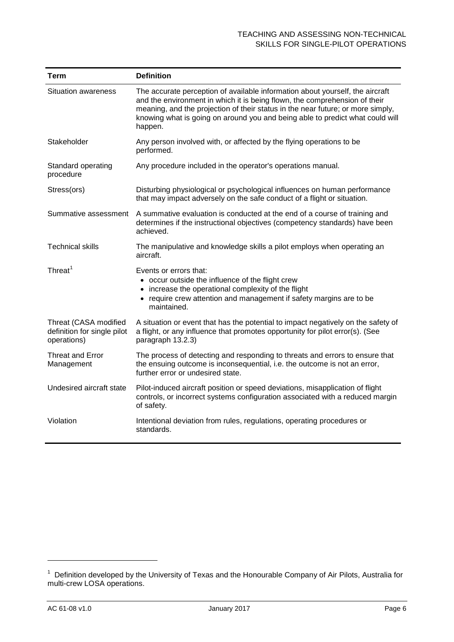| Term                                                                | <b>Definition</b>                                                                                                                                                                                                                                                                                                                          |
|---------------------------------------------------------------------|--------------------------------------------------------------------------------------------------------------------------------------------------------------------------------------------------------------------------------------------------------------------------------------------------------------------------------------------|
| <b>Situation awareness</b>                                          | The accurate perception of available information about yourself, the aircraft<br>and the environment in which it is being flown, the comprehension of their<br>meaning, and the projection of their status in the near future; or more simply,<br>knowing what is going on around you and being able to predict what could will<br>happen. |
| Stakeholder                                                         | Any person involved with, or affected by the flying operations to be<br>performed.                                                                                                                                                                                                                                                         |
| Standard operating<br>procedure                                     | Any procedure included in the operator's operations manual.                                                                                                                                                                                                                                                                                |
| Stress(ors)                                                         | Disturbing physiological or psychological influences on human performance<br>that may impact adversely on the safe conduct of a flight or situation.                                                                                                                                                                                       |
| Summative assessment                                                | A summative evaluation is conducted at the end of a course of training and<br>determines if the instructional objectives (competency standards) have been<br>achieved.                                                                                                                                                                     |
| <b>Technical skills</b>                                             | The manipulative and knowledge skills a pilot employs when operating an<br>aircraft.                                                                                                                                                                                                                                                       |
| Threat <sup>1</sup>                                                 | Events or errors that:<br>• occur outside the influence of the flight crew<br>• increase the operational complexity of the flight<br>• require crew attention and management if safety margins are to be<br>maintained.                                                                                                                    |
| Threat (CASA modified<br>definition for single pilot<br>operations) | A situation or event that has the potential to impact negatively on the safety of<br>a flight, or any influence that promotes opportunity for pilot error(s). (See<br>paragraph 13.2.3)                                                                                                                                                    |
| Threat and Error<br>Management                                      | The process of detecting and responding to threats and errors to ensure that<br>the ensuing outcome is inconsequential, i.e. the outcome is not an error,<br>further error or undesired state.                                                                                                                                             |
| Undesired aircraft state                                            | Pilot-induced aircraft position or speed deviations, misapplication of flight<br>controls, or incorrect systems configuration associated with a reduced margin<br>of safety.                                                                                                                                                               |
| Violation                                                           | Intentional deviation from rules, regulations, operating procedures or<br>standards.                                                                                                                                                                                                                                                       |

<span id="page-6-0"></span> $\ddot{\phantom{a}}$ 

<span id="page-6-1"></span><sup>&</sup>lt;sup>1</sup> Definition developed by the University of Texas and the Honourable Company of Air Pilots, Australia for multi-crew LOSA operations.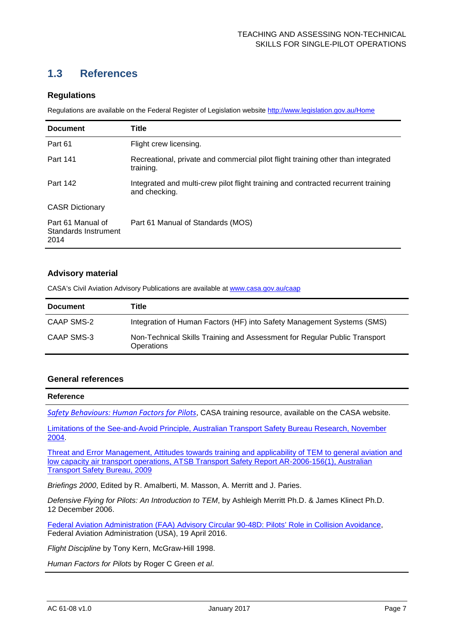# **1.3 References**

### **Regulations**

Regulations are available on the Federal Register of Legislation website<http://www.legislation.gov.au/Home>

| <b>Document</b>                                   | <b>Title</b>                                                                                       |
|---------------------------------------------------|----------------------------------------------------------------------------------------------------|
| Part 61                                           | Flight crew licensing.                                                                             |
| Part 141                                          | Recreational, private and commercial pilot flight training other than integrated<br>training.      |
| Part 142                                          | Integrated and multi-crew pilot flight training and contracted recurrent training<br>and checking. |
| <b>CASR Dictionary</b>                            |                                                                                                    |
| Part 61 Manual of<br>Standards Instrument<br>2014 | Part 61 Manual of Standards (MOS)                                                                  |

#### **Advisory material**

CASA's Civil Aviation Advisory Publications are available a[t www.casa.gov.au/caap](http://www.casa.gov.au/caap)

| <b>Document</b> | Title                                                                                          |
|-----------------|------------------------------------------------------------------------------------------------|
| CAAP SMS-2      | Integration of Human Factors (HF) into Safety Management Systems (SMS)                         |
| CAAP SMS-3      | Non-Technical Skills Training and Assessment for Regular Public Transport<br><b>Operations</b> |

#### **General references**

#### **Reference**

*[Safety Behaviours: Human Factors for Pilots](http://www.casa.gov.au/scripts/nc.dll?WCMS:STANDARD::pc=PC_100994)*, CASA training resource, available on the CASA website.

[Limitations of the See-and-Avoid Principle, Australian Transport Safety Bureau Research, November](https://www.atsb.gov.au/media/4050593/see_and_avoid_report_print.pdf)  [2004.](https://www.atsb.gov.au/media/4050593/see_and_avoid_report_print.pdf)

[Threat and Error Management, Attitudes towards training and applicability of TEM to general aviation and](https://www.atsb.gov.au/media/4050593/see_and_avoid_report_print.pdf)  [low capacity air transport operations, ATSB Transport Safety Report AR-2006-156\(1\), Australian](https://www.atsb.gov.au/media/4050593/see_and_avoid_report_print.pdf)  [Transport Safety Bureau, 2009](https://www.atsb.gov.au/media/4050593/see_and_avoid_report_print.pdf)

*Briefings 2000*, Edited by R. Amalberti, M. Masson, A. Merritt and J. Paries.

*Defensive Flying for Pilots: An Introduction to TEM*, by Ashleigh Merritt Ph.D. & James Klinect Ph.D. 12 December 2006.

[Federal Aviation Administration \(FAA\) Advisory Circular 90-48D: Pilots' Role in Collision Avoidance,](https://www.faa.gov/documentLibrary/media/Advisory_Circular/AC_90-48D.pdf) Federal Aviation Administration (USA), 19 April 2016.

*Flight Discipline* by Tony Kern, McGraw-Hill 1998.

*Human Factors for Pilots* by Roger C Green *et al*.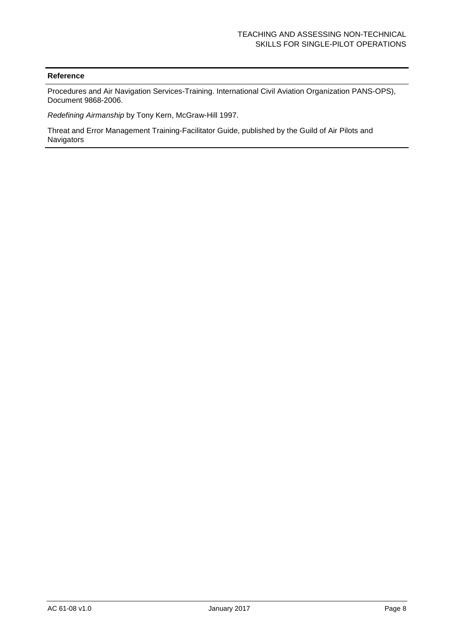#### **Reference**

Procedures and Air Navigation Services-Training. International Civil Aviation Organization PANS-OPS), Document 9868-2006.

*Redefining Airmanship* by Tony Kern, McGraw-Hill 1997.

Threat and Error Management Training-Facilitator Guide, published by the Guild of Air Pilots and Navigators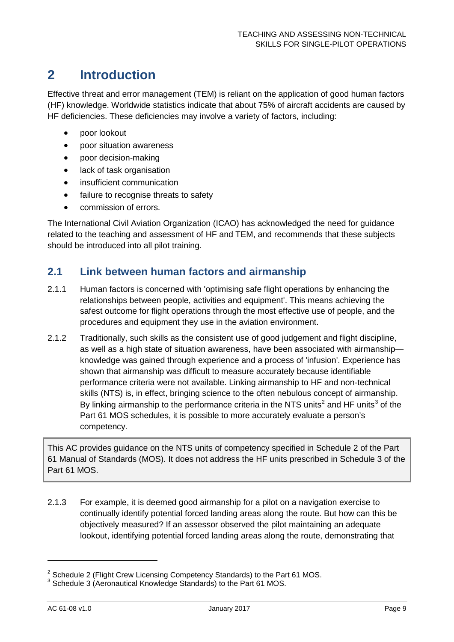# <span id="page-9-0"></span>**2 Introduction**

Effective threat and error management (TEM) is reliant on the application of good human factors (HF) knowledge. Worldwide statistics indicate that about 75% of aircraft accidents are caused by HF deficiencies. These deficiencies may involve a variety of factors, including:

- poor lookout
- poor situation awareness
- poor decision-making
- lack of task organisation
- insufficient communication
- failure to recognise threats to safety
- commission of errors.

The International Civil Aviation Organization (ICAO) has acknowledged the need for guidance related to the teaching and assessment of HF and TEM, and recommends that these subjects should be introduced into all pilot training.

### <span id="page-9-1"></span>**2.1 Link between human factors and airmanship**

- 2.1.1 Human factors is concerned with 'optimising safe flight operations by enhancing the relationships between people, activities and equipment'. This means achieving the safest outcome for flight operations through the most effective use of people, and the procedures and equipment they use in the aviation environment.
- 2.1.2 Traditionally, such skills as the consistent use of good judgement and flight discipline, as well as a high state of situation awareness, have been associated with airmanship knowledge was gained through experience and a process of 'infusion'. Experience has shown that airmanship was difficult to measure accurately because identifiable performance criteria were not available. Linking airmanship to HF and non-technical skills (NTS) is, in effect, bringing science to the often nebulous concept of airmanship. By linking airmanship to the performance criteria in the NTS units<sup>[2](#page-9-2)</sup> and HF units<sup>[3](#page-9-3)</sup> of the Part 61 MOS schedules, it is possible to more accurately evaluate a person's competency.

This AC provides guidance on the NTS units of competency specified in Schedule 2 of the Part 61 Manual of Standards (MOS). It does not address the HF units prescribed in Schedule 3 of the Part 61 MOS.

2.1.3 For example, it is deemed good airmanship for a pilot on a navigation exercise to continually identify potential forced landing areas along the route. But how can this be objectively measured? If an assessor observed the pilot maintaining an adequate lookout, identifying potential forced landing areas along the route, demonstrating that

 $\ddot{\phantom{a}}$ 

<span id="page-9-2"></span><sup>&</sup>lt;sup>2</sup> Schedule 2 (Flight Crew Licensing Competency Standards) to the Part 61 MOS.<br><sup>3</sup> Schedule 3 (Aeronautical Knowledge Standards) to the Part 61 MOS.

<span id="page-9-3"></span>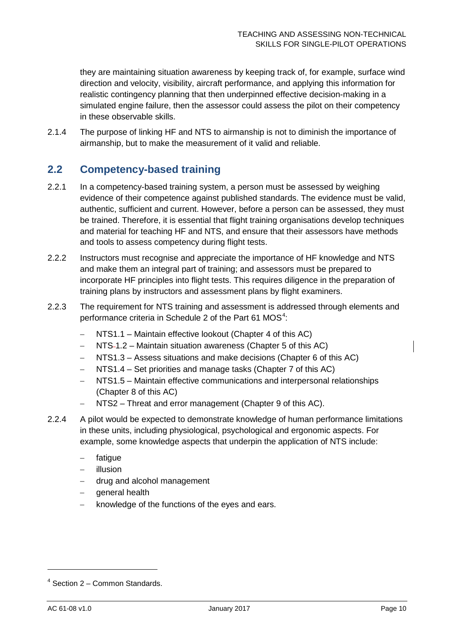they are maintaining situation awareness by keeping track of, for example, surface wind direction and velocity, visibility, aircraft performance, and applying this information for realistic contingency planning that then underpinned effective decision-making in a simulated engine failure, then the assessor could assess the pilot on their competency in these observable skills.

2.1.4 The purpose of linking HF and NTS to airmanship is not to diminish the importance of airmanship, but to make the measurement of it valid and reliable.

# <span id="page-10-0"></span>**2.2 Competency-based training**

- 2.2.1 In a competency-based training system, a person must be assessed by weighing evidence of their competence against published standards. The evidence must be valid, authentic, sufficient and current. However, before a person can be assessed, they must be trained. Therefore, it is essential that flight training organisations develop techniques and material for teaching HF and NTS, and ensure that their assessors have methods and tools to assess competency during flight tests.
- 2.2.2 Instructors must recognise and appreciate the importance of HF knowledge and NTS and make them an integral part of training; and assessors must be prepared to incorporate HF principles into flight tests. This requires diligence in the preparation of training plans by instructors and assessment plans by flight examiners.
- 2.2.3 The requirement for NTS training and assessment is addressed through elements and performance criteria in Schedule 2 of the Part 61 MOS<sup>[4](#page-10-1)</sup>:
	- − NTS1.1 Maintain effective lookout (Chapter [4](#page-15-0) of this AC)
	- − NTS 1.2 Maintain situation awareness (Chapter [5](#page-20-0) of this AC)
	- − NTS1.3 Assess situations and make decisions (Chapter [6](#page-25-0) of this AC)
	- − NTS1.4 Set priorities and manage tasks (Chapter [7](#page-29-0) of this AC)
	- − NTS1.5 Maintain effective communications and interpersonal relationships (Chapter [8](#page-32-0) of this AC)
	- NTS2 Threat and error management (Chapter [9](#page-36-0) of this AC).
- 2.2.4 A pilot would be expected to demonstrate knowledge of human performance limitations in these units, including physiological, psychological and ergonomic aspects. For example, some knowledge aspects that underpin the application of NTS include:
	- fatigue
	- − illusion
	- − drug and alcohol management
	- − general health
	- knowledge of the functions of the eyes and ears.

 $\overline{a}$ 

<span id="page-10-1"></span> $4$  Section 2 – Common Standards.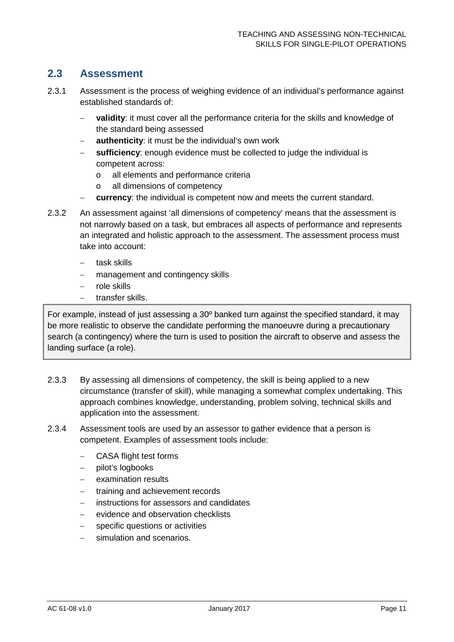# <span id="page-11-0"></span>**2.3 Assessment**

- 2.3.1 Assessment is the process of weighing evidence of an individual's performance against established standards of:
	- validity: it must cover all the performance criteria for the skills and knowledge of the standard being assessed
	- **authenticity:** it must be the individual's own work
	- − **sufficiency**: enough evidence must be collected to judge the individual is competent across:
		- o all elements and performance criteria
		- o all dimensions of competency
	- **currency:** the individual is competent now and meets the current standard.
- 2.3.2 An assessment against 'all dimensions of competency' means that the assessment is not narrowly based on a task, but embraces all aspects of performance and represents an integrated and holistic approach to the assessment. The assessment process must take into account:
	- − task skills
	- management and contingency skills
	- − role skills
	- − transfer skills.

For example, instead of just assessing a 30º banked turn against the specified standard, it may be more realistic to observe the candidate performing the manoeuvre during a precautionary search (a contingency) where the turn is used to position the aircraft to observe and assess the landing surface (a role).

- 2.3.3 By assessing all dimensions of competency, the skill is being applied to a new circumstance (transfer of skill), while managing a somewhat complex undertaking. This approach combines knowledge, understanding, problem solving, technical skills and application into the assessment.
- 2.3.4 Assessment tools are used by an assessor to gather evidence that a person is competent. Examples of assessment tools include:
	- − CASA flight test forms
	- − pilot's logbooks
	- − examination results
	- − training and achievement records
	- − instructions for assessors and candidates
	- evidence and observation checklists
	- specific questions or activities
	- simulation and scenarios.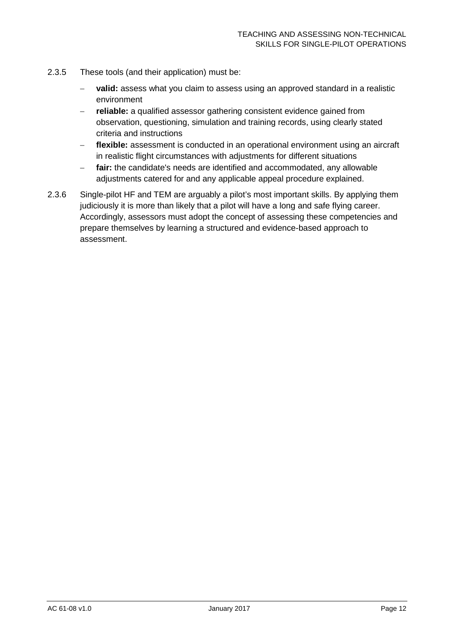- 2.3.5 These tools (and their application) must be:
	- − **valid:** assess what you claim to assess using an approved standard in a realistic environment
	- **reliable:** a qualified assessor gathering consistent evidence gained from observation, questioning, simulation and training records, using clearly stated criteria and instructions
	- − **flexible:** assessment is conducted in an operational environment using an aircraft in realistic flight circumstances with adjustments for different situations
	- − **fair:** the candidate's needs are identified and accommodated, any allowable adjustments catered for and any applicable appeal procedure explained.
- 2.3.6 Single-pilot HF and TEM are arguably a pilot's most important skills. By applying them judiciously it is more than likely that a pilot will have a long and safe flying career. Accordingly, assessors must adopt the concept of assessing these competencies and prepare themselves by learning a structured and evidence-based approach to assessment.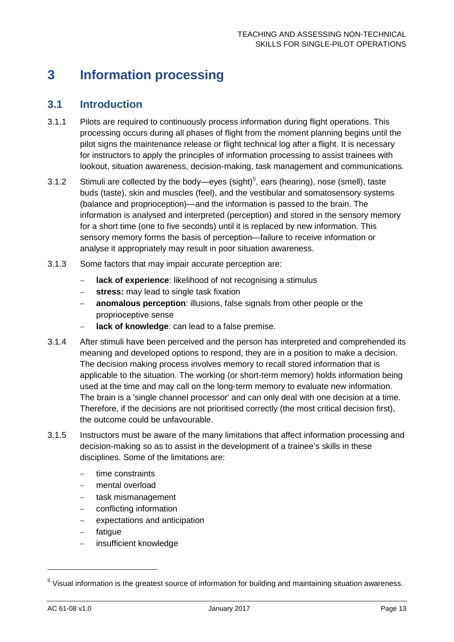# <span id="page-13-0"></span>**3 Information processing**

### <span id="page-13-1"></span>**3.1 Introduction**

- 3.1.1 Pilots are required to continuously process information during flight operations. This processing occurs during all phases of flight from the moment planning begins until the pilot signs the maintenance release or flight technical log after a flight. It is necessary for instructors to apply the principles of information processing to assist trainees with lookout, situation awareness, decision-making, task management and communications.
- 3.1.2 Stimuli are collected by the body—eyes (sight)<sup>[5](#page-13-2)</sup>, ears (hearing), nose (smell), taste buds (taste), skin and muscles (feel), and the vestibular and somatosensory systems (balance and proprioception)—and the information is passed to the brain. The information is analysed and interpreted (perception) and stored in the sensory memory for a short time (one to five seconds) until it is replaced by new information. This sensory memory forms the basis of perception—failure to receive information or analyse it appropriately may result in poor situation awareness.
- 3.1.3 Some factors that may impair accurate perception are:
	- − **lack of experience**: likelihood of not recognising a stimulus
	- − **stress:** may lead to single task fixation
	- − **anomalous perception**: illusions, false signals from other people or the proprioceptive sense
	- − **lack of knowledge**: can lead to a false premise.
- 3.1.4 After stimuli have been perceived and the person has interpreted and comprehended its meaning and developed options to respond, they are in a position to make a decision. The decision making process involves memory to recall stored information that is applicable to the situation. The working (or short-term memory) holds information being used at the time and may call on the long-term memory to evaluate new information. The brain is a 'single channel processor' and can only deal with one decision at a time. Therefore, if the decisions are not prioritised correctly (the most critical decision first), the outcome could be unfavourable.
- 3.1.5 Instructors must be aware of the many limitations that affect information processing and decision-making so as to assist in the development of a trainee's skills in these disciplines. Some of the limitations are:
	- − time constraints
	- − mental overload
	- − task mismanagement
	- conflicting information
	- expectations and anticipation
	- − fatigue
	- − insufficient knowledge

 $\overline{a}$ 

<span id="page-13-2"></span><sup>&</sup>lt;sup>5</sup> Visual information is the greatest source of information for building and maintaining situation awareness.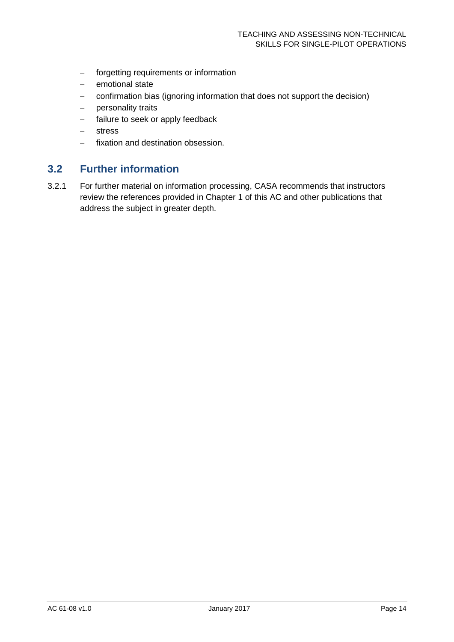- − forgetting requirements or information
- − emotional state
- − confirmation bias (ignoring information that does not support the decision)
- − personality traits
- − failure to seek or apply feedback
- − stress
- − fixation and destination obsession.

### <span id="page-14-0"></span>**3.2 Further information**

3.2.1 For further material on information processing, CASA recommends that instructors review the references provided in Chapter 1 of this AC and other publications that address the subject in greater depth.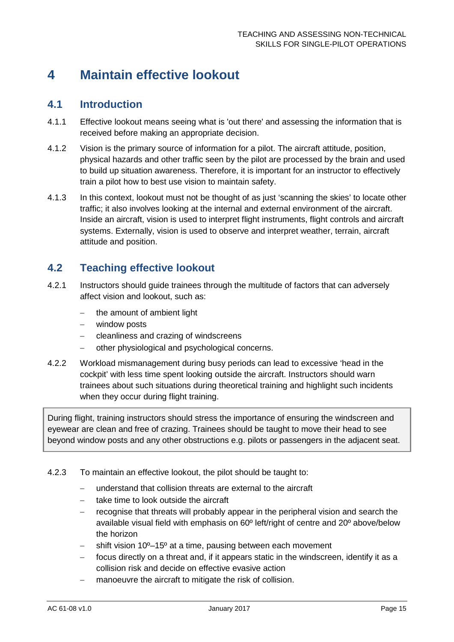# <span id="page-15-0"></span>**4 Maintain effective lookout**

### <span id="page-15-1"></span>**4.1 Introduction**

- 4.1.1 Effective lookout means seeing what is 'out there' and assessing the information that is received before making an appropriate decision.
- 4.1.2 Vision is the primary source of information for a pilot. The aircraft attitude, position, physical hazards and other traffic seen by the pilot are processed by the brain and used to build up situation awareness. Therefore, it is important for an instructor to effectively train a pilot how to best use vision to maintain safety.
- 4.1.3 In this context, lookout must not be thought of as just 'scanning the skies' to locate other traffic; it also involves looking at the internal and external environment of the aircraft. Inside an aircraft, vision is used to interpret flight instruments, flight controls and aircraft systems. Externally, vision is used to observe and interpret weather, terrain, aircraft attitude and position.

# <span id="page-15-2"></span>**4.2 Teaching effective lookout**

- 4.2.1 Instructors should guide trainees through the multitude of factors that can adversely affect vision and lookout, such as:
	- − the amount of ambient light
	- − window posts
	- − cleanliness and crazing of windscreens
	- − other physiological and psychological concerns.
- 4.2.2 Workload mismanagement during busy periods can lead to excessive 'head in the cockpit' with less time spent looking outside the aircraft. Instructors should warn trainees about such situations during theoretical training and highlight such incidents when they occur during flight training.

During flight, training instructors should stress the importance of ensuring the windscreen and eyewear are clean and free of crazing. Trainees should be taught to move their head to see beyond window posts and any other obstructions e.g. pilots or passengers in the adjacent seat.

- 4.2.3 To maintain an effective lookout, the pilot should be taught to:
	- understand that collision threats are external to the aircraft
	- take time to look outside the aircraft
	- recognise that threats will probably appear in the peripheral vision and search the available visual field with emphasis on 60º left/right of centre and 20º above/below the horizon
	- − shift vision 10º–15º at a time, pausing between each movement
	- focus directly on a threat and, if it appears static in the windscreen, identify it as a collision risk and decide on effective evasive action
	- manoeuvre the aircraft to mitigate the risk of collision.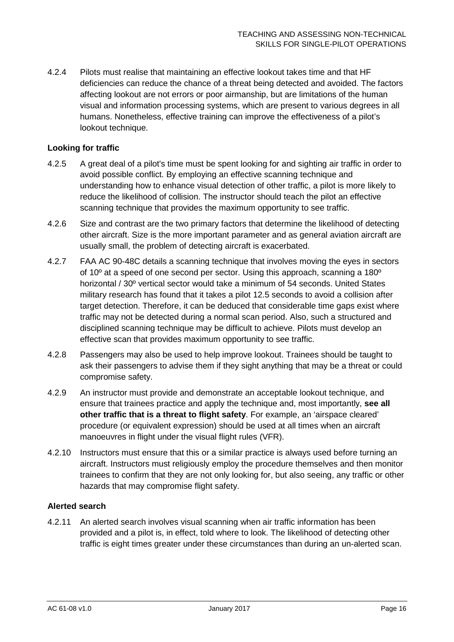4.2.4 Pilots must realise that maintaining an effective lookout takes time and that HF deficiencies can reduce the chance of a threat being detected and avoided. The factors affecting lookout are not errors or poor airmanship, but are limitations of the human visual and information processing systems, which are present to various degrees in all humans. Nonetheless, effective training can improve the effectiveness of a pilot's lookout technique.

### **Looking for traffic**

- 4.2.5 A great deal of a pilot's time must be spent looking for and sighting air traffic in order to avoid possible conflict. By employing an effective scanning technique and understanding how to enhance visual detection of other traffic, a pilot is more likely to reduce the likelihood of collision. The instructor should teach the pilot an effective scanning technique that provides the maximum opportunity to see traffic.
- 4.2.6 Size and contrast are the two primary factors that determine the likelihood of detecting other aircraft. Size is the more important parameter and as general aviation aircraft are usually small, the problem of detecting aircraft is exacerbated.
- 4.2.7 FAA AC 90-48C details a scanning technique that involves moving the eyes in sectors of 10º at a speed of one second per sector. Using this approach, scanning a 180º horizontal / 30º vertical sector would take a minimum of 54 seconds. United States military research has found that it takes a pilot 12.5 seconds to avoid a collision after target detection. Therefore, it can be deduced that considerable time gaps exist where traffic may not be detected during a normal scan period. Also, such a structured and disciplined scanning technique may be difficult to achieve. Pilots must develop an effective scan that provides maximum opportunity to see traffic.
- 4.2.8 Passengers may also be used to help improve lookout. Trainees should be taught to ask their passengers to advise them if they sight anything that may be a threat or could compromise safety.
- 4.2.9 An instructor must provide and demonstrate an acceptable lookout technique, and ensure that trainees practice and apply the technique and, most importantly, **see all other traffic that is a threat to flight safety**. For example, an 'airspace cleared' procedure (or equivalent expression) should be used at all times when an aircraft manoeuvres in flight under the visual flight rules (VFR).
- 4.2.10 Instructors must ensure that this or a similar practice is always used before turning an aircraft. Instructors must religiously employ the procedure themselves and then monitor trainees to confirm that they are not only looking for, but also seeing, any traffic or other hazards that may compromise flight safety.

### **Alerted search**

4.2.11 An alerted search involves visual scanning when air traffic information has been provided and a pilot is, in effect, told where to look. The likelihood of detecting other traffic is eight times greater under these circumstances than during an un-alerted scan.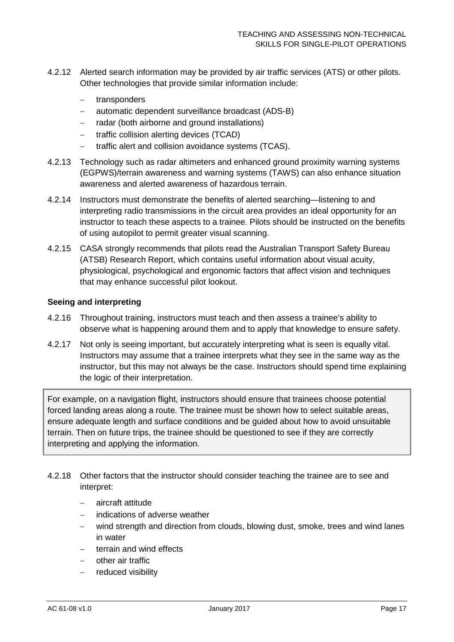- 4.2.12 Alerted search information may be provided by air traffic services (ATS) or other pilots. Other technologies that provide similar information include:
	- − transponders
	- − automatic dependent surveillance broadcast (ADS-B)
	- − radar (both airborne and ground installations)
	- − traffic collision alerting devices (TCAD)
	- − traffic alert and collision avoidance systems (TCAS).
- 4.2.13 Technology such as radar altimeters and enhanced ground proximity warning systems (EGPWS)/terrain awareness and warning systems (TAWS) can also enhance situation awareness and alerted awareness of hazardous terrain.
- 4.2.14 Instructors must demonstrate the benefits of alerted searching—listening to and interpreting radio transmissions in the circuit area provides an ideal opportunity for an instructor to teach these aspects to a trainee. Pilots should be instructed on the benefits of using autopilot to permit greater visual scanning.
- 4.2.15 CASA strongly recommends that pilots read the Australian Transport Safety Bureau (ATSB) Research Report, which contains useful information about visual acuity, physiological, psychological and ergonomic factors that affect vision and techniques that may enhance successful pilot lookout.

### **Seeing and interpreting**

- 4.2.16 Throughout training, instructors must teach and then assess a trainee's ability to observe what is happening around them and to apply that knowledge to ensure safety.
- 4.2.17 Not only is seeing important, but accurately interpreting what is seen is equally vital. Instructors may assume that a trainee interprets what they see in the same way as the instructor, but this may not always be the case. Instructors should spend time explaining the logic of their interpretation.

For example, on a navigation flight, instructors should ensure that trainees choose potential forced landing areas along a route. The trainee must be shown how to select suitable areas, ensure adequate length and surface conditions and be guided about how to avoid unsuitable terrain. Then on future trips, the trainee should be questioned to see if they are correctly interpreting and applying the information.

- 4.2.18 Other factors that the instructor should consider teaching the trainee are to see and interpret:
	- − aircraft attitude
	- − indications of adverse weather
	- wind strength and direction from clouds, blowing dust, smoke, trees and wind lanes in water
	- terrain and wind effects
	- − other air traffic
	- reduced visibility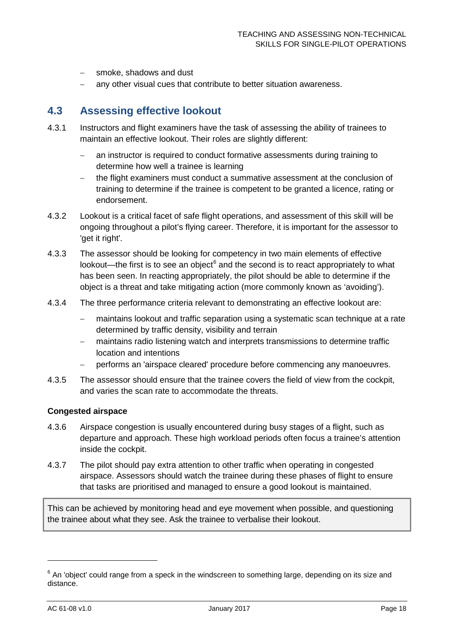- smoke, shadows and dust
- any other visual cues that contribute to better situation awareness.

# <span id="page-18-0"></span>**4.3 Assessing effective lookout**

- 4.3.1 Instructors and flight examiners have the task of assessing the ability of trainees to maintain an effective lookout. Their roles are slightly different:
	- − an instructor is required to conduct formative assessments during training to determine how well a trainee is learning
	- the flight examiners must conduct a summative assessment at the conclusion of training to determine if the trainee is competent to be granted a licence, rating or endorsement.
- 4.3.2 Lookout is a critical facet of safe flight operations, and assessment of this skill will be ongoing throughout a pilot's flying career. Therefore, it is important for the assessor to 'get it right'.
- 4.3.3 The assessor should be looking for competency in two main elements of effective lookout—the first is to see an object $<sup>6</sup>$  $<sup>6</sup>$  $<sup>6</sup>$  and the second is to react appropriately to what</sup> has been seen. In reacting appropriately, the pilot should be able to determine if the object is a threat and take mitigating action (more commonly known as 'avoiding').
- 4.3.4 The three performance criteria relevant to demonstrating an effective lookout are:
	- − maintains lookout and traffic separation using a systematic scan technique at a rate determined by traffic density, visibility and terrain
	- maintains radio listening watch and interprets transmissions to determine traffic location and intentions
	- − performs an 'airspace cleared' procedure before commencing any manoeuvres.
- 4.3.5 The assessor should ensure that the trainee covers the field of view from the cockpit, and varies the scan rate to accommodate the threats.

#### **Congested airspace**

- 4.3.6 Airspace congestion is usually encountered during busy stages of a flight, such as departure and approach. These high workload periods often focus a trainee's attention inside the cockpit.
- 4.3.7 The pilot should pay extra attention to other traffic when operating in congested airspace. Assessors should watch the trainee during these phases of flight to ensure that tasks are prioritised and managed to ensure a good lookout is maintained.

This can be achieved by monitoring head and eye movement when possible, and questioning the trainee about what they see. Ask the trainee to verbalise their lookout.

 $\ddot{\phantom{a}}$ 

<span id="page-18-1"></span> $6$  An 'object' could range from a speck in the windscreen to something large, depending on its size and distance.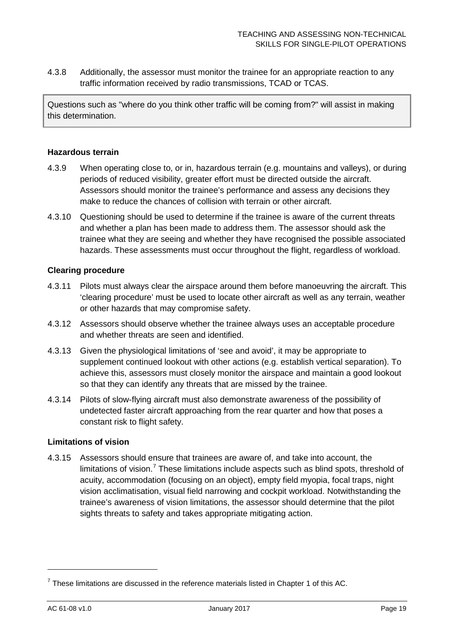4.3.8 Additionally, the assessor must monitor the trainee for an appropriate reaction to any traffic information received by radio transmissions, TCAD or TCAS.

Questions such as "where do you think other traffic will be coming from?" will assist in making this determination.

### **Hazardous terrain**

- 4.3.9 When operating close to, or in, hazardous terrain (e.g. mountains and valleys), or during periods of reduced visibility, greater effort must be directed outside the aircraft. Assessors should monitor the trainee's performance and assess any decisions they make to reduce the chances of collision with terrain or other aircraft.
- 4.3.10 Questioning should be used to determine if the trainee is aware of the current threats and whether a plan has been made to address them. The assessor should ask the trainee what they are seeing and whether they have recognised the possible associated hazards. These assessments must occur throughout the flight, regardless of workload.

### **Clearing procedure**

- 4.3.11 Pilots must always clear the airspace around them before manoeuvring the aircraft. This 'clearing procedure' must be used to locate other aircraft as well as any terrain, weather or other hazards that may compromise safety.
- 4.3.12 Assessors should observe whether the trainee always uses an acceptable procedure and whether threats are seen and identified.
- 4.3.13 Given the physiological limitations of 'see and avoid', it may be appropriate to supplement continued lookout with other actions (e.g. establish vertical separation). To achieve this, assessors must closely monitor the airspace and maintain a good lookout so that they can identify any threats that are missed by the trainee.
- 4.3.14 Pilots of slow-flying aircraft must also demonstrate awareness of the possibility of undetected faster aircraft approaching from the rear quarter and how that poses a constant risk to flight safety.

#### **Limitations of vision**

4.3.15 Assessors should ensure that trainees are aware of, and take into account, the limitations of vision.<sup>[7](#page-19-0)</sup> These limitations include aspects such as blind spots, threshold of acuity, accommodation (focusing on an object), empty field myopia, focal traps, night vision acclimatisation, visual field narrowing and cockpit workload. Notwithstanding the trainee's awareness of vision limitations, the assessor should determine that the pilot sights threats to safety and takes appropriate mitigating action.

 $\overline{a}$ 

<span id="page-19-0"></span> $<sup>7</sup>$  These limitations are discussed in the reference materials listed in Chapter 1 of this AC.</sup>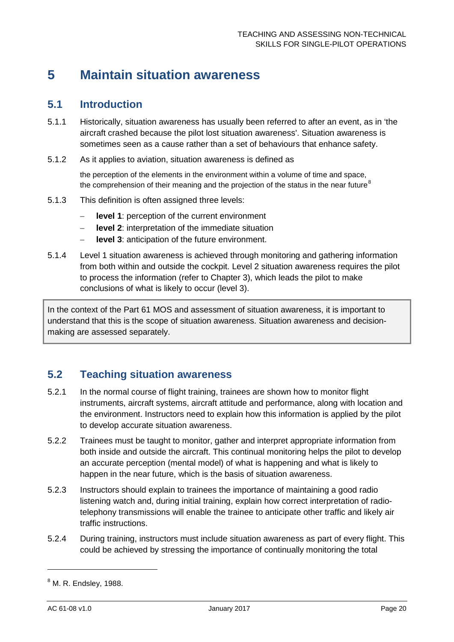# <span id="page-20-0"></span>**5 Maintain situation awareness**

### <span id="page-20-1"></span>**5.1 Introduction**

- 5.1.1 Historically, situation awareness has usually been referred to after an event, as in 'the aircraft crashed because the pilot lost situation awareness'. Situation awareness is sometimes seen as a cause rather than a set of behaviours that enhance safety.
- 5.1.2 As it applies to aviation, situation awareness is defined as

the perception of the elements in the environment within a volume of time and space, the comprehension of their meaning and the projection of the status in the near future $8$ 

- 5.1.3 This definition is often assigned three levels:
	- − **level 1**: perception of the current environment
	- − **level 2**: interpretation of the immediate situation
	- **level 3**: anticipation of the future environment.
- 5.1.4 Level 1 situation awareness is achieved through monitoring and gathering information from both within and outside the cockpit. Level 2 situation awareness requires the pilot to process the information (refer to Chapter [3\)](#page-13-0), which leads the pilot to make conclusions of what is likely to occur (level 3).

In the context of the Part 61 MOS and assessment of situation awareness, it is important to understand that this is the scope of situation awareness. Situation awareness and decisionmaking are assessed separately.

# <span id="page-20-2"></span>**5.2 Teaching situation awareness**

- 5.2.1 In the normal course of flight training, trainees are shown how to monitor flight instruments, aircraft systems, aircraft attitude and performance, along with location and the environment. Instructors need to explain how this information is applied by the pilot to develop accurate situation awareness.
- 5.2.2 Trainees must be taught to monitor, gather and interpret appropriate information from both inside and outside the aircraft. This continual monitoring helps the pilot to develop an accurate perception (mental model) of what is happening and what is likely to happen in the near future, which is the basis of situation awareness.
- 5.2.3 Instructors should explain to trainees the importance of maintaining a good radio listening watch and, during initial training, explain how correct interpretation of radiotelephony transmissions will enable the trainee to anticipate other traffic and likely air traffic instructions.
- 5.2.4 During training, instructors must include situation awareness as part of every flight. This could be achieved by stressing the importance of continually monitoring the total

 $\overline{a}$ 

<span id="page-20-3"></span> $<sup>8</sup>$  M. R. Endslev, 1988.</sup>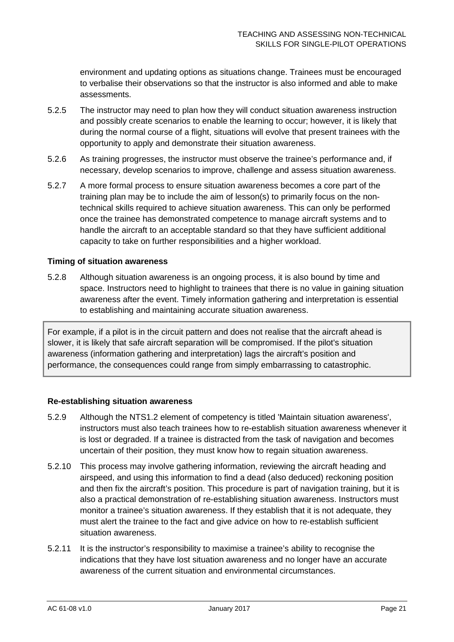environment and updating options as situations change. Trainees must be encouraged to verbalise their observations so that the instructor is also informed and able to make assessments.

- 5.2.5 The instructor may need to plan how they will conduct situation awareness instruction and possibly create scenarios to enable the learning to occur; however, it is likely that during the normal course of a flight, situations will evolve that present trainees with the opportunity to apply and demonstrate their situation awareness.
- 5.2.6 As training progresses, the instructor must observe the trainee's performance and, if necessary, develop scenarios to improve, challenge and assess situation awareness.
- 5.2.7 A more formal process to ensure situation awareness becomes a core part of the training plan may be to include the aim of lesson(s) to primarily focus on the nontechnical skills required to achieve situation awareness. This can only be performed once the trainee has demonstrated competence to manage aircraft systems and to handle the aircraft to an acceptable standard so that they have sufficient additional capacity to take on further responsibilities and a higher workload.

### **Timing of situation awareness**

5.2.8 Although situation awareness is an ongoing process, it is also bound by time and space. Instructors need to highlight to trainees that there is no value in gaining situation awareness after the event. Timely information gathering and interpretation is essential to establishing and maintaining accurate situation awareness.

For example, if a pilot is in the circuit pattern and does not realise that the aircraft ahead is slower, it is likely that safe aircraft separation will be compromised. If the pilot's situation awareness (information gathering and interpretation) lags the aircraft's position and performance, the consequences could range from simply embarrassing to catastrophic.

#### **Re-establishing situation awareness**

- 5.2.9 Although the NTS1.2 element of competency is titled 'Maintain situation awareness', instructors must also teach trainees how to re-establish situation awareness whenever it is lost or degraded. If a trainee is distracted from the task of navigation and becomes uncertain of their position, they must know how to regain situation awareness.
- 5.2.10 This process may involve gathering information, reviewing the aircraft heading and airspeed, and using this information to find a dead (also deduced) reckoning position and then fix the aircraft's position. This procedure is part of navigation training, but it is also a practical demonstration of re-establishing situation awareness. Instructors must monitor a trainee's situation awareness. If they establish that it is not adequate, they must alert the trainee to the fact and give advice on how to re-establish sufficient situation awareness.
- 5.2.11 It is the instructor's responsibility to maximise a trainee's ability to recognise the indications that they have lost situation awareness and no longer have an accurate awareness of the current situation and environmental circumstances.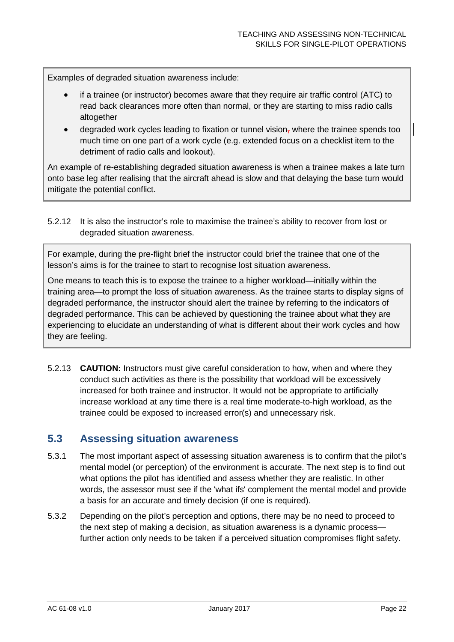Examples of degraded situation awareness include:

- if a trainee (or instructor) becomes aware that they require air traffic control (ATC) to read back clearances more often than normal, or they are starting to miss radio calls altogether
- degraded work cycles leading to fixation or tunnel vision, where the trainee spends too much time on one part of a work cycle (e.g. extended focus on a checklist item to the detriment of radio calls and lookout).

An example of re-establishing degraded situation awareness is when a trainee makes a late turn onto base leg after realising that the aircraft ahead is slow and that delaying the base turn would mitigate the potential conflict.

5.2.12 It is also the instructor's role to maximise the trainee's ability to recover from lost or degraded situation awareness.

For example, during the pre-flight brief the instructor could brief the trainee that one of the lesson's aims is for the trainee to start to recognise lost situation awareness.

One means to teach this is to expose the trainee to a higher workload—initially within the training area—to prompt the loss of situation awareness. As the trainee starts to display signs of degraded performance, the instructor should alert the trainee by referring to the indicators of degraded performance. This can be achieved by questioning the trainee about what they are experiencing to elucidate an understanding of what is different about their work cycles and how they are feeling.

5.2.13 **CAUTION:** Instructors must give careful consideration to how, when and where they conduct such activities as there is the possibility that workload will be excessively increased for both trainee and instructor. It would not be appropriate to artificially increase workload at any time there is a real time moderate-to-high workload, as the trainee could be exposed to increased error(s) and unnecessary risk.

### <span id="page-22-0"></span>**5.3 Assessing situation awareness**

- 5.3.1 The most important aspect of assessing situation awareness is to confirm that the pilot's mental model (or perception) of the environment is accurate. The next step is to find out what options the pilot has identified and assess whether they are realistic. In other words, the assessor must see if the 'what ifs' complement the mental model and provide a basis for an accurate and timely decision (if one is required).
- 5.3.2 Depending on the pilot's perception and options, there may be no need to proceed to the next step of making a decision, as situation awareness is a dynamic process further action only needs to be taken if a perceived situation compromises flight safety.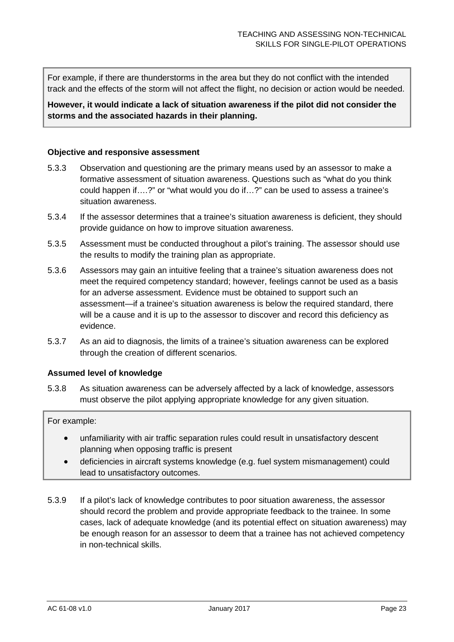For example, if there are thunderstorms in the area but they do not conflict with the intended track and the effects of the storm will not affect the flight, no decision or action would be needed.

### **However, it would indicate a lack of situation awareness if the pilot did not consider the storms and the associated hazards in their planning.**

### **Objective and responsive assessment**

- 5.3.3 Observation and questioning are the primary means used by an assessor to make a formative assessment of situation awareness. Questions such as "what do you think could happen if….?" or "what would you do if…?" can be used to assess a trainee's situation awareness.
- 5.3.4 If the assessor determines that a trainee's situation awareness is deficient, they should provide guidance on how to improve situation awareness.
- 5.3.5 Assessment must be conducted throughout a pilot's training. The assessor should use the results to modify the training plan as appropriate.
- 5.3.6 Assessors may gain an intuitive feeling that a trainee's situation awareness does not meet the required competency standard; however, feelings cannot be used as a basis for an adverse assessment. Evidence must be obtained to support such an assessment—if a trainee's situation awareness is below the required standard, there will be a cause and it is up to the assessor to discover and record this deficiency as evidence.
- 5.3.7 As an aid to diagnosis, the limits of a trainee's situation awareness can be explored through the creation of different scenarios.

#### **Assumed level of knowledge**

5.3.8 As situation awareness can be adversely affected by a lack of knowledge, assessors must observe the pilot applying appropriate knowledge for any given situation.

### For example:

- unfamiliarity with air traffic separation rules could result in unsatisfactory descent planning when opposing traffic is present
- deficiencies in aircraft systems knowledge (e.g. fuel system mismanagement) could lead to unsatisfactory outcomes.
- 5.3.9 If a pilot's lack of knowledge contributes to poor situation awareness, the assessor should record the problem and provide appropriate feedback to the trainee. In some cases, lack of adequate knowledge (and its potential effect on situation awareness) may be enough reason for an assessor to deem that a trainee has not achieved competency in non-technical skills.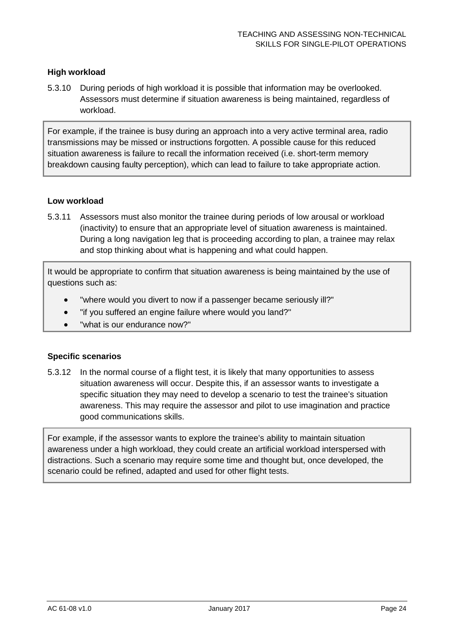### **High workload**

5.3.10 During periods of high workload it is possible that information may be overlooked. Assessors must determine if situation awareness is being maintained, regardless of workload.

For example, if the trainee is busy during an approach into a very active terminal area, radio transmissions may be missed or instructions forgotten. A possible cause for this reduced situation awareness is failure to recall the information received (i.e. short-term memory breakdown causing faulty perception), which can lead to failure to take appropriate action.

### **Low workload**

5.3.11 Assessors must also monitor the trainee during periods of low arousal or workload (inactivity) to ensure that an appropriate level of situation awareness is maintained. During a long navigation leg that is proceeding according to plan, a trainee may relax and stop thinking about what is happening and what could happen.

It would be appropriate to confirm that situation awareness is being maintained by the use of questions such as:

- "where would you divert to now if a passenger became seriously ill?"
- "if you suffered an engine failure where would you land?"
- "what is our endurance now?"

#### **Specific scenarios**

5.3.12 In the normal course of a flight test, it is likely that many opportunities to assess situation awareness will occur. Despite this, if an assessor wants to investigate a specific situation they may need to develop a scenario to test the trainee's situation awareness. This may require the assessor and pilot to use imagination and practice good communications skills.

For example, if the assessor wants to explore the trainee's ability to maintain situation awareness under a high workload, they could create an artificial workload interspersed with distractions. Such a scenario may require some time and thought but, once developed, the scenario could be refined, adapted and used for other flight tests.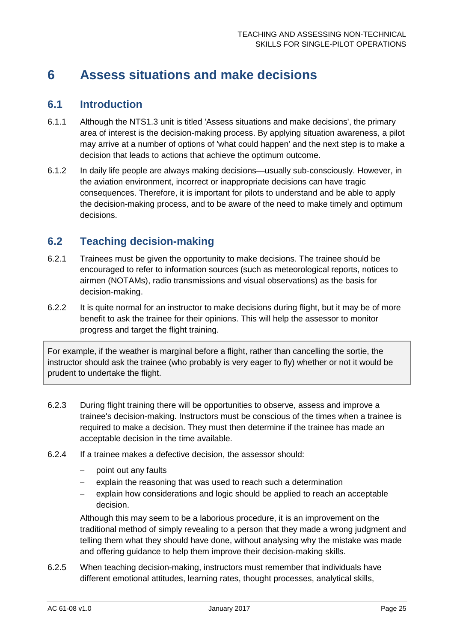# <span id="page-25-0"></span>**6 Assess situations and make decisions**

### <span id="page-25-1"></span>**6.1 Introduction**

- 6.1.1 Although the NTS1.3 unit is titled 'Assess situations and make decisions', the primary area of interest is the decision-making process. By applying situation awareness, a pilot may arrive at a number of options of 'what could happen' and the next step is to make a decision that leads to actions that achieve the optimum outcome.
- 6.1.2 In daily life people are always making decisions—usually sub-consciously. However, in the aviation environment, incorrect or inappropriate decisions can have tragic consequences. Therefore, it is important for pilots to understand and be able to apply the decision-making process, and to be aware of the need to make timely and optimum decisions.

# <span id="page-25-2"></span>**6.2 Teaching decision-making**

- 6.2.1 Trainees must be given the opportunity to make decisions. The trainee should be encouraged to refer to information sources (such as meteorological reports, notices to airmen (NOTAMs), radio transmissions and visual observations) as the basis for decision-making.
- 6.2.2 It is quite normal for an instructor to make decisions during flight, but it may be of more benefit to ask the trainee for their opinions. This will help the assessor to monitor progress and target the flight training.

For example, if the weather is marginal before a flight, rather than cancelling the sortie, the instructor should ask the trainee (who probably is very eager to fly) whether or not it would be prudent to undertake the flight.

- 6.2.3 During flight training there will be opportunities to observe, assess and improve a trainee's decision-making. Instructors must be conscious of the times when a trainee is required to make a decision. They must then determine if the trainee has made an acceptable decision in the time available.
- 6.2.4 If a trainee makes a defective decision, the assessor should:
	- point out any faults
	- explain the reasoning that was used to reach such a determination
	- − explain how considerations and logic should be applied to reach an acceptable decision.

Although this may seem to be a laborious procedure, it is an improvement on the traditional method of simply revealing to a person that they made a wrong judgment and telling them what they should have done, without analysing why the mistake was made and offering guidance to help them improve their decision-making skills.

6.2.5 When teaching decision-making, instructors must remember that individuals have different emotional attitudes, learning rates, thought processes, analytical skills,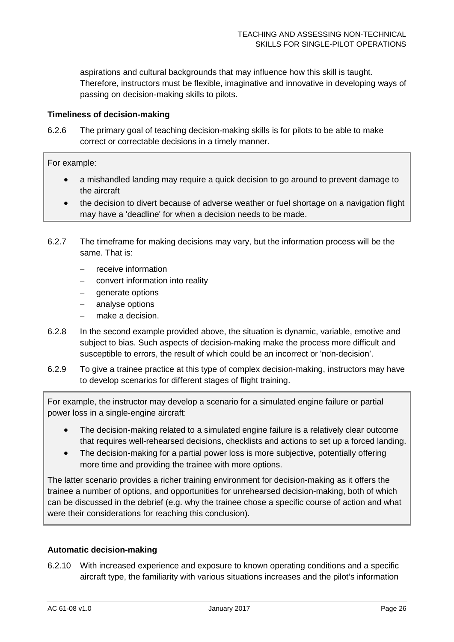aspirations and cultural backgrounds that may influence how this skill is taught. Therefore, instructors must be flexible, imaginative and innovative in developing ways of passing on decision-making skills to pilots.

### **Timeliness of decision-making**

6.2.6 The primary goal of teaching decision-making skills is for pilots to be able to make correct or correctable decisions in a timely manner.

For example:

- a mishandled landing may require a quick decision to go around to prevent damage to the aircraft
- the decision to divert because of adverse weather or fuel shortage on a navigation flight may have a 'deadline' for when a decision needs to be made.
- 6.2.7 The timeframe for making decisions may vary, but the information process will be the same. That is:
	- − receive information
	- − convert information into reality
	- − generate options
	- analyse options
	- make a decision.
- 6.2.8 In the second example provided above, the situation is dynamic, variable, emotive and subject to bias. Such aspects of decision-making make the process more difficult and susceptible to errors, the result of which could be an incorrect or 'non-decision'.
- 6.2.9 To give a trainee practice at this type of complex decision-making, instructors may have to develop scenarios for different stages of flight training.

For example, the instructor may develop a scenario for a simulated engine failure or partial power loss in a single-engine aircraft:

- The decision-making related to a simulated engine failure is a relatively clear outcome that requires well-rehearsed decisions, checklists and actions to set up a forced landing.
- The decision-making for a partial power loss is more subjective, potentially offering more time and providing the trainee with more options.

The latter scenario provides a richer training environment for decision-making as it offers the trainee a number of options, and opportunities for unrehearsed decision-making, both of which can be discussed in the debrief (e.g. why the trainee chose a specific course of action and what were their considerations for reaching this conclusion).

#### **Automatic decision-making**

6.2.10 With increased experience and exposure to known operating conditions and a specific aircraft type, the familiarity with various situations increases and the pilot's information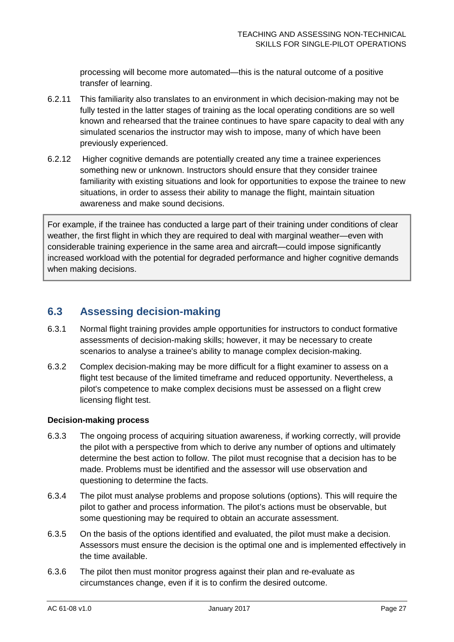processing will become more automated—this is the natural outcome of a positive transfer of learning.

- 6.2.11 This familiarity also translates to an environment in which decision-making may not be fully tested in the latter stages of training as the local operating conditions are so well known and rehearsed that the trainee continues to have spare capacity to deal with any simulated scenarios the instructor may wish to impose, many of which have been previously experienced.
- 6.2.12 Higher cognitive demands are potentially created any time a trainee experiences something new or unknown. Instructors should ensure that they consider trainee familiarity with existing situations and look for opportunities to expose the trainee to new situations, in order to assess their ability to manage the flight, maintain situation awareness and make sound decisions.

For example, if the trainee has conducted a large part of their training under conditions of clear weather, the first flight in which they are required to deal with marginal weather—even with considerable training experience in the same area and aircraft—could impose significantly increased workload with the potential for degraded performance and higher cognitive demands when making decisions.

# <span id="page-27-0"></span>**6.3 Assessing decision-making**

- 6.3.1 Normal flight training provides ample opportunities for instructors to conduct formative assessments of decision-making skills; however, it may be necessary to create scenarios to analyse a trainee's ability to manage complex decision-making.
- 6.3.2 Complex decision-making may be more difficult for a flight examiner to assess on a flight test because of the limited timeframe and reduced opportunity. Nevertheless, a pilot's competence to make complex decisions must be assessed on a flight crew licensing flight test.

### **Decision-making process**

- 6.3.3 The ongoing process of acquiring situation awareness, if working correctly, will provide the pilot with a perspective from which to derive any number of options and ultimately determine the best action to follow. The pilot must recognise that a decision has to be made. Problems must be identified and the assessor will use observation and questioning to determine the facts.
- 6.3.4 The pilot must analyse problems and propose solutions (options). This will require the pilot to gather and process information. The pilot's actions must be observable, but some questioning may be required to obtain an accurate assessment.
- 6.3.5 On the basis of the options identified and evaluated, the pilot must make a decision. Assessors must ensure the decision is the optimal one and is implemented effectively in the time available.
- 6.3.6 The pilot then must monitor progress against their plan and re-evaluate as circumstances change, even if it is to confirm the desired outcome.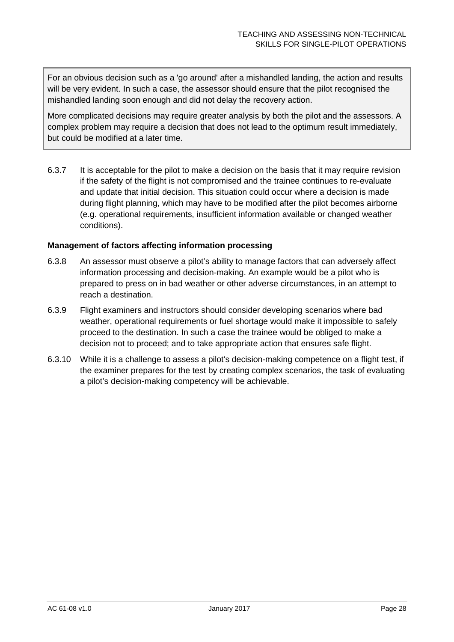For an obvious decision such as a 'go around' after a mishandled landing, the action and results will be very evident. In such a case, the assessor should ensure that the pilot recognised the mishandled landing soon enough and did not delay the recovery action.

More complicated decisions may require greater analysis by both the pilot and the assessors. A complex problem may require a decision that does not lead to the optimum result immediately, but could be modified at a later time.

6.3.7 It is acceptable for the pilot to make a decision on the basis that it may require revision if the safety of the flight is not compromised and the trainee continues to re-evaluate and update that initial decision. This situation could occur where a decision is made during flight planning, which may have to be modified after the pilot becomes airborne (e.g. operational requirements, insufficient information available or changed weather conditions).

### **Management of factors affecting information processing**

- 6.3.8 An assessor must observe a pilot's ability to manage factors that can adversely affect information processing and decision-making. An example would be a pilot who is prepared to press on in bad weather or other adverse circumstances, in an attempt to reach a destination.
- 6.3.9 Flight examiners and instructors should consider developing scenarios where bad weather, operational requirements or fuel shortage would make it impossible to safely proceed to the destination. In such a case the trainee would be obliged to make a decision not to proceed; and to take appropriate action that ensures safe flight.
- 6.3.10 While it is a challenge to assess a pilot's decision-making competence on a flight test, if the examiner prepares for the test by creating complex scenarios, the task of evaluating a pilot's decision-making competency will be achievable.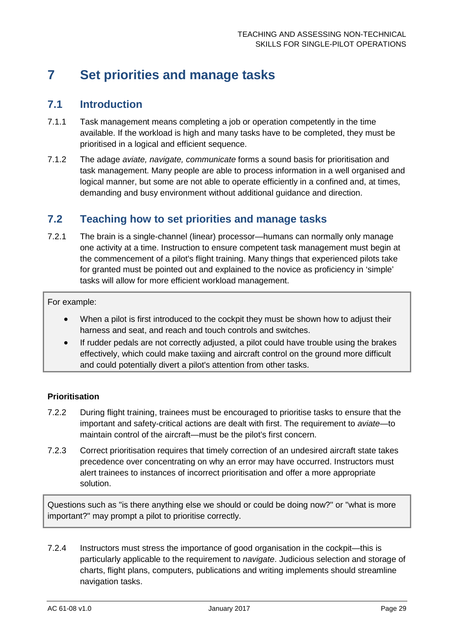# <span id="page-29-0"></span>**7 Set priorities and manage tasks**

### <span id="page-29-1"></span>**7.1 Introduction**

- 7.1.1 Task management means completing a job or operation competently in the time available. If the workload is high and many tasks have to be completed, they must be prioritised in a logical and efficient sequence.
- 7.1.2 The adage *aviate, navigate, communicate* forms a sound basis for prioritisation and task management. Many people are able to process information in a well organised and logical manner, but some are not able to operate efficiently in a confined and, at times, demanding and busy environment without additional guidance and direction.

### <span id="page-29-2"></span>**7.2 Teaching how to set priorities and manage tasks**

7.2.1 The brain is a single-channel (linear) processor—humans can normally only manage one activity at a time. Instruction to ensure competent task management must begin at the commencement of a pilot's flight training. Many things that experienced pilots take for granted must be pointed out and explained to the novice as proficiency in 'simple' tasks will allow for more efficient workload management.

For example:

- When a pilot is first introduced to the cockpit they must be shown how to adjust their harness and seat, and reach and touch controls and switches.
- If rudder pedals are not correctly adjusted, a pilot could have trouble using the brakes effectively, which could make taxiing and aircraft control on the ground more difficult and could potentially divert a pilot's attention from other tasks.

### **Prioritisation**

- 7.2.2 During flight training, trainees must be encouraged to prioritise tasks to ensure that the important and safety-critical actions are dealt with first. The requirement to *aviate*—to maintain control of the aircraft—must be the pilot's first concern.
- 7.2.3 Correct prioritisation requires that timely correction of an undesired aircraft state takes precedence over concentrating on why an error may have occurred. Instructors must alert trainees to instances of incorrect prioritisation and offer a more appropriate solution.

Questions such as "is there anything else we should or could be doing now?" or "what is more important?" may prompt a pilot to prioritise correctly.

7.2.4 Instructors must stress the importance of good organisation in the cockpit—this is particularly applicable to the requirement to *navigate*. Judicious selection and storage of charts, flight plans, computers, publications and writing implements should streamline navigation tasks.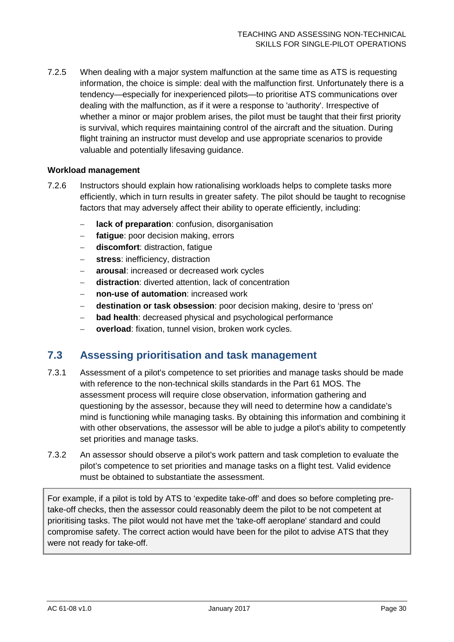7.2.5 When dealing with a major system malfunction at the same time as ATS is requesting information, the choice is simple: deal with the malfunction first. Unfortunately there is a tendency—especially for inexperienced pilots—to prioritise ATS communications over dealing with the malfunction, as if it were a response to 'authority'. Irrespective of whether a minor or major problem arises, the pilot must be taught that their first priority is survival, which requires maintaining control of the aircraft and the situation. During flight training an instructor must develop and use appropriate scenarios to provide valuable and potentially lifesaving guidance.

### **Workload management**

- 7.2.6 Instructors should explain how rationalising workloads helps to complete tasks more efficiently, which in turn results in greater safety. The pilot should be taught to recognise factors that may adversely affect their ability to operate efficiently, including:
	- − **lack of preparation**: confusion, disorganisation
	- − **fatigue**: poor decision making, errors
	- − **discomfort**: distraction, fatigue
	- − **stress**: inefficiency, distraction
	- − **arousal**: increased or decreased work cycles
	- **distraction**: diverted attention, lack of concentration
	- − **non-use of automation**: increased work
	- − **destination or task obsession**: poor decision making, desire to 'press on'
	- − **bad health**: decreased physical and psychological performance
	- − **overload**: fixation, tunnel vision, broken work cycles.

### <span id="page-30-0"></span>**7.3 Assessing prioritisation and task management**

- 7.3.1 Assessment of a pilot's competence to set priorities and manage tasks should be made with reference to the non-technical skills standards in the Part 61 MOS. The assessment process will require close observation, information gathering and questioning by the assessor, because they will need to determine how a candidate's mind is functioning while managing tasks. By obtaining this information and combining it with other observations, the assessor will be able to judge a pilot's ability to competently set priorities and manage tasks.
- 7.3.2 An assessor should observe a pilot's work pattern and task completion to evaluate the pilot's competence to set priorities and manage tasks on a flight test. Valid evidence must be obtained to substantiate the assessment.

For example, if a pilot is told by ATS to 'expedite take-off' and does so before completing pretake-off checks, then the assessor could reasonably deem the pilot to be not competent at prioritising tasks. The pilot would not have met the 'take-off aeroplane' standard and could compromise safety. The correct action would have been for the pilot to advise ATS that they were not ready for take-off.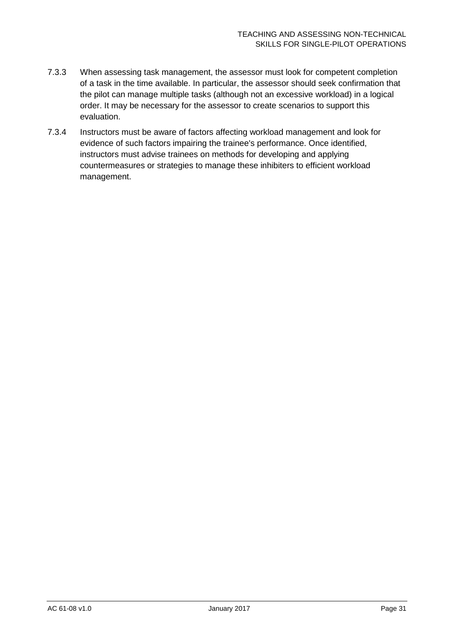- 7.3.3 When assessing task management, the assessor must look for competent completion of a task in the time available. In particular, the assessor should seek confirmation that the pilot can manage multiple tasks (although not an excessive workload) in a logical order. It may be necessary for the assessor to create scenarios to support this evaluation.
- 7.3.4 Instructors must be aware of factors affecting workload management and look for evidence of such factors impairing the trainee's performance. Once identified, instructors must advise trainees on methods for developing and applying countermeasures or strategies to manage these inhibiters to efficient workload management.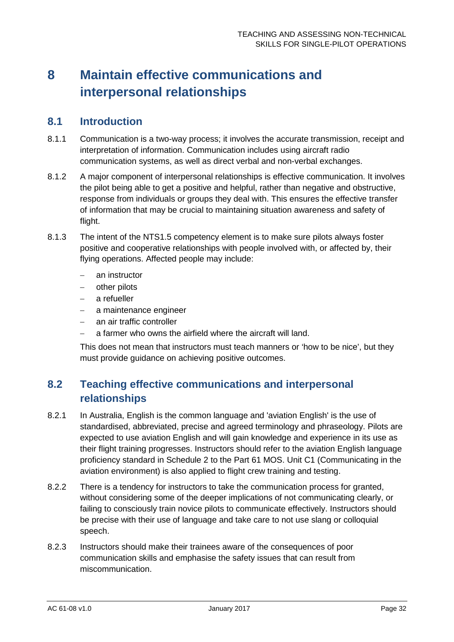# <span id="page-32-0"></span>**8 Maintain effective communications and interpersonal relationships**

### <span id="page-32-1"></span>**8.1 Introduction**

- 8.1.1 Communication is a two-way process; it involves the accurate transmission, receipt and interpretation of information. Communication includes using aircraft radio communication systems, as well as direct verbal and non-verbal exchanges.
- 8.1.2 A major component of interpersonal relationships is effective communication. It involves the pilot being able to get a positive and helpful, rather than negative and obstructive, response from individuals or groups they deal with. This ensures the effective transfer of information that may be crucial to maintaining situation awareness and safety of flight.
- 8.1.3 The intent of the NTS1.5 competency element is to make sure pilots always foster positive and cooperative relationships with people involved with, or affected by, their flying operations. Affected people may include:
	- − an instructor
	- − other pilots
	- a refueller
	- − a maintenance engineer
	- − an air traffic controller
	- − a farmer who owns the airfield where the aircraft will land.

This does not mean that instructors must teach manners or 'how to be nice', but they must provide guidance on achieving positive outcomes.

# <span id="page-32-2"></span>**8.2 Teaching effective communications and interpersonal relationships**

- 8.2.1 In Australia, English is the common language and 'aviation English' is the use of standardised, abbreviated, precise and agreed terminology and phraseology. Pilots are expected to use aviation English and will gain knowledge and experience in its use as their flight training progresses. Instructors should refer to the aviation English language proficiency standard in Schedule 2 to the Part 61 MOS. Unit C1 (Communicating in the aviation environment) is also applied to flight crew training and testing.
- 8.2.2 There is a tendency for instructors to take the communication process for granted, without considering some of the deeper implications of not communicating clearly, or failing to consciously train novice pilots to communicate effectively. Instructors should be precise with their use of language and take care to not use slang or colloquial speech.
- 8.2.3 Instructors should make their trainees aware of the consequences of poor communication skills and emphasise the safety issues that can result from miscommunication.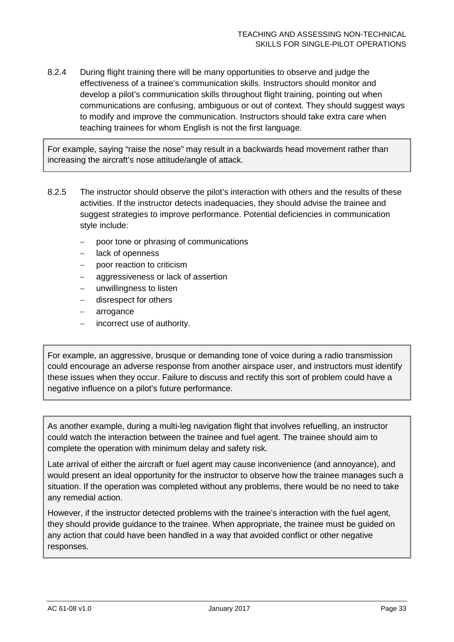8.2.4 During flight training there will be many opportunities to observe and judge the effectiveness of a trainee's communication skills. Instructors should monitor and develop a pilot's communication skills throughout flight training, pointing out when communications are confusing, ambiguous or out of context. They should suggest ways to modify and improve the communication. Instructors should take extra care when teaching trainees for whom English is not the first language.

For example, saying "raise the nose" may result in a backwards head movement rather than increasing the aircraft's nose attitude/angle of attack.

- 8.2.5 The instructor should observe the pilot's interaction with others and the results of these activities. If the instructor detects inadequacies, they should advise the trainee and suggest strategies to improve performance. Potential deficiencies in communication style include:
	- − poor tone or phrasing of communications
	- − lack of openness
	- − poor reaction to criticism
	- aggressiveness or lack of assertion
	- − unwillingness to listen
	- disrespect for others
	- − arrogance
	- incorrect use of authority.

For example, an aggressive, brusque or demanding tone of voice during a radio transmission could encourage an adverse response from another airspace user, and instructors must identify these issues when they occur. Failure to discuss and rectify this sort of problem could have a negative influence on a pilot's future performance.

As another example, during a multi-leg navigation flight that involves refuelling, an instructor could watch the interaction between the trainee and fuel agent. The trainee should aim to complete the operation with minimum delay and safety risk.

Late arrival of either the aircraft or fuel agent may cause inconvenience (and annoyance), and would present an ideal opportunity for the instructor to observe how the trainee manages such a situation. If the operation was completed without any problems, there would be no need to take any remedial action.

However, if the instructor detected problems with the trainee's interaction with the fuel agent, they should provide guidance to the trainee. When appropriate, the trainee must be guided on any action that could have been handled in a way that avoided conflict or other negative responses.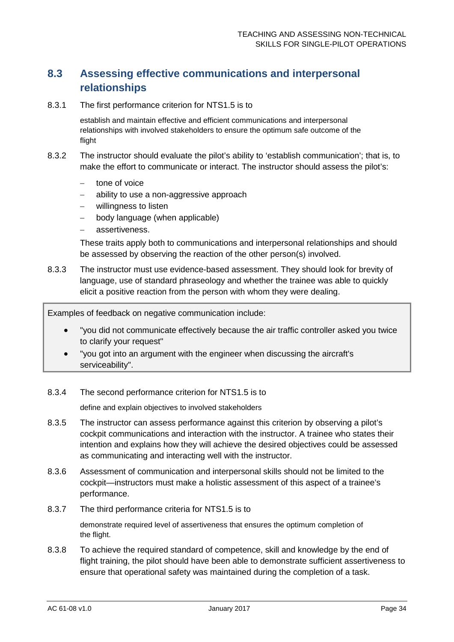# <span id="page-34-0"></span>**8.3 Assessing effective communications and interpersonal relationships**

8.3.1 The first performance criterion for NTS1.5 is to

establish and maintain effective and efficient communications and interpersonal relationships with involved stakeholders to ensure the optimum safe outcome of the flight

- 8.3.2 The instructor should evaluate the pilot's ability to 'establish communication'; that is, to make the effort to communicate or interact. The instructor should assess the pilot's:
	- tone of voice
	- − ability to use a non-aggressive approach
	- − willingness to listen
	- − body language (when applicable)
	- − assertiveness.

These traits apply both to communications and interpersonal relationships and should be assessed by observing the reaction of the other person(s) involved.

8.3.3 The instructor must use evidence-based assessment. They should look for brevity of language, use of standard phraseology and whether the trainee was able to quickly elicit a positive reaction from the person with whom they were dealing.

Examples of feedback on negative communication include:

- "you did not communicate effectively because the air traffic controller asked you twice to clarify your request"
- "you got into an argument with the engineer when discussing the aircraft's serviceability".
- 8.3.4 The second performance criterion for NTS1.5 is to

define and explain objectives to involved stakeholders

- 8.3.5 The instructor can assess performance against this criterion by observing a pilot's cockpit communications and interaction with the instructor. A trainee who states their intention and explains how they will achieve the desired objectives could be assessed as communicating and interacting well with the instructor.
- 8.3.6 Assessment of communication and interpersonal skills should not be limited to the cockpit—instructors must make a holistic assessment of this aspect of a trainee's performance.
- 8.3.7 The third performance criteria for NTS1.5 is to

demonstrate required level of assertiveness that ensures the optimum completion of the flight.

8.3.8 To achieve the required standard of competence, skill and knowledge by the end of flight training, the pilot should have been able to demonstrate sufficient assertiveness to ensure that operational safety was maintained during the completion of a task.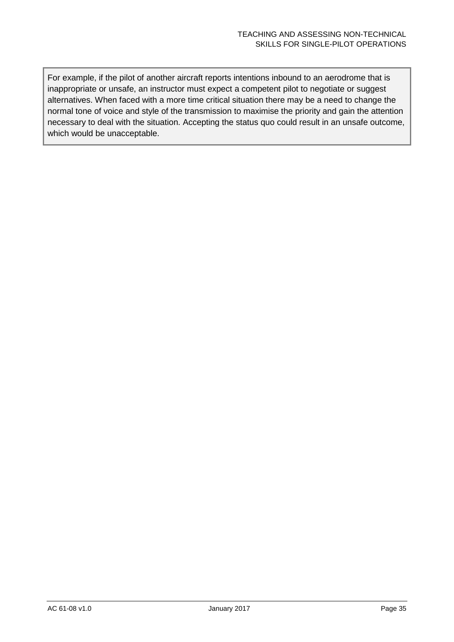For example, if the pilot of another aircraft reports intentions inbound to an aerodrome that is inappropriate or unsafe, an instructor must expect a competent pilot to negotiate or suggest alternatives. When faced with a more time critical situation there may be a need to change the normal tone of voice and style of the transmission to maximise the priority and gain the attention necessary to deal with the situation. Accepting the status quo could result in an unsafe outcome, which would be unacceptable.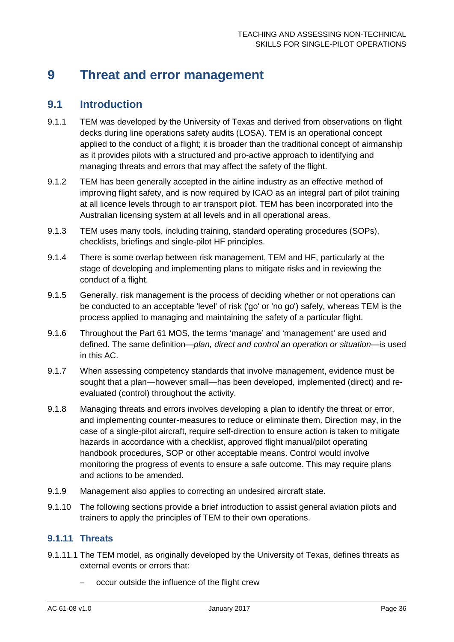# <span id="page-36-0"></span>**9 Threat and error management**

### <span id="page-36-1"></span>**9.1 Introduction**

- 9.1.1 TEM was developed by the University of Texas and derived from observations on flight decks during line operations safety audits (LOSA). TEM is an operational concept applied to the conduct of a flight; it is broader than the traditional concept of airmanship as it provides pilots with a structured and pro-active approach to identifying and managing threats and errors that may affect the safety of the flight.
- 9.1.2 TEM has been generally accepted in the airline industry as an effective method of improving flight safety, and is now required by ICAO as an integral part of pilot training at all licence levels through to air transport pilot. TEM has been incorporated into the Australian licensing system at all levels and in all operational areas.
- 9.1.3 TEM uses many tools, including training, standard operating procedures (SOPs), checklists, briefings and single-pilot HF principles.
- 9.1.4 There is some overlap between risk management, TEM and HF, particularly at the stage of developing and implementing plans to mitigate risks and in reviewing the conduct of a flight.
- 9.1.5 Generally, risk management is the process of deciding whether or not operations can be conducted to an acceptable 'level' of risk ('go' or 'no go') safely, whereas TEM is the process applied to managing and maintaining the safety of a particular flight.
- 9.1.6 Throughout the Part 61 MOS, the terms 'manage' and 'management' are used and defined. The same definition—*plan, direct and control an operation or situation*—is used in this AC.
- 9.1.7 When assessing competency standards that involve management, evidence must be sought that a plan—however small—has been developed, implemented (direct) and reevaluated (control) throughout the activity.
- 9.1.8 Managing threats and errors involves developing a plan to identify the threat or error, and implementing counter-measures to reduce or eliminate them. Direction may, in the case of a single-pilot aircraft, require self-direction to ensure action is taken to mitigate hazards in accordance with a checklist, approved flight manual/pilot operating handbook procedures, SOP or other acceptable means. Control would involve monitoring the progress of events to ensure a safe outcome. This may require plans and actions to be amended.
- 9.1.9 Management also applies to correcting an undesired aircraft state.
- 9.1.10 The following sections provide a brief introduction to assist general aviation pilots and trainers to apply the principles of TEM to their own operations.

### **9.1.11 Threats**

- 9.1.11.1 The TEM model, as originally developed by the University of Texas, defines threats as external events or errors that:
	- − occur outside the influence of the flight crew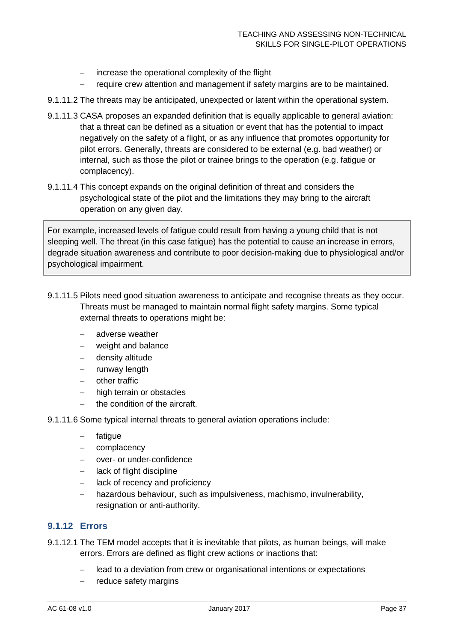- − increase the operational complexity of the flight
- − require crew attention and management if safety margins are to be maintained.
- 9.1.11.2 The threats may be anticipated, unexpected or latent within the operational system.
- 9.1.11.3 CASA proposes an expanded definition that is equally applicable to general aviation: that a threat can be defined as a situation or event that has the potential to impact negatively on the safety of a flight, or as any influence that promotes opportunity for pilot errors. Generally, threats are considered to be external (e.g. bad weather) or internal, such as those the pilot or trainee brings to the operation (e.g. fatigue or complacency).
- 9.1.11.4 This concept expands on the original definition of threat and considers the psychological state of the pilot and the limitations they may bring to the aircraft operation on any given day.

For example, increased levels of fatigue could result from having a young child that is not sleeping well. The threat (in this case fatigue) has the potential to cause an increase in errors, degrade situation awareness and contribute to poor decision-making due to physiological and/or psychological impairment.

- 9.1.11.5 Pilots need good situation awareness to anticipate and recognise threats as they occur. Threats must be managed to maintain normal flight safety margins. Some typical external threats to operations might be:
	- − adverse weather
	- − weight and balance
	- − density altitude
	- − runway length
	- − other traffic
	- − high terrain or obstacles
	- − the condition of the aircraft.
- 9.1.11.6 Some typical internal threats to general aviation operations include:
	- − fatigue
	- − complacency
	- − over- or under-confidence
	- lack of flight discipline
	- − lack of recency and proficiency
	- − hazardous behaviour, such as impulsiveness, machismo, invulnerability, resignation or anti-authority.

### **9.1.12 Errors**

- 9.1.12.1 The TEM model accepts that it is inevitable that pilots, as human beings, will make errors. Errors are defined as flight crew actions or inactions that:
	- − lead to a deviation from crew or organisational intentions or expectations
	- reduce safety margins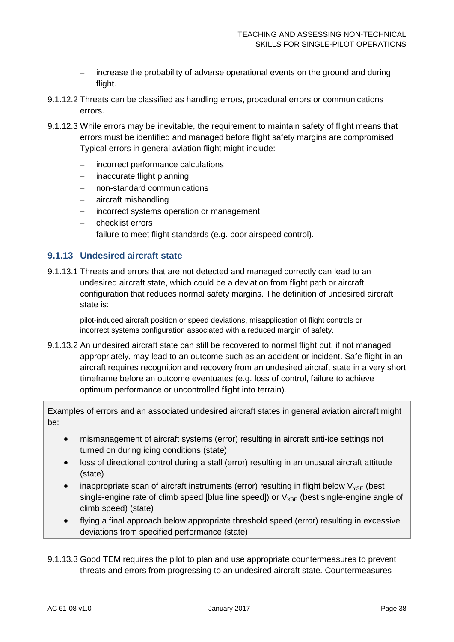- increase the probability of adverse operational events on the ground and during flight.
- 9.1.12.2 Threats can be classified as handling errors, procedural errors or communications errors.
- 9.1.12.3 While errors may be inevitable, the requirement to maintain safety of flight means that errors must be identified and managed before flight safety margins are compromised. Typical errors in general aviation flight might include:
	- − incorrect performance calculations
	- − inaccurate flight planning
	- − non-standard communications
	- − aircraft mishandling
	- − incorrect systems operation or management
	- − checklist errors
	- − failure to meet flight standards (e.g. poor airspeed control).

### **9.1.13 Undesired aircraft state**

9.1.13.1 Threats and errors that are not detected and managed correctly can lead to an undesired aircraft state, which could be a deviation from flight path or aircraft configuration that reduces normal safety margins. The definition of undesired aircraft state is:

pilot-induced aircraft position or speed deviations, misapplication of flight controls or incorrect systems configuration associated with a reduced margin of safety.

9.1.13.2 An undesired aircraft state can still be recovered to normal flight but, if not managed appropriately, may lead to an outcome such as an accident or incident. Safe flight in an aircraft requires recognition and recovery from an undesired aircraft state in a very short timeframe before an outcome eventuates (e.g. loss of control, failure to achieve optimum performance or uncontrolled flight into terrain).

Examples of errors and an associated undesired aircraft states in general aviation aircraft might be:

- mismanagement of aircraft systems (error) resulting in aircraft anti-ice settings not turned on during icing conditions (state)
- loss of directional control during a stall (error) resulting in an unusual aircraft attitude (state)
- inappropriate scan of aircraft instruments (error) resulting in flight below  $V_{\text{YSF}}$  (best single-engine rate of climb speed [blue line speed]) or  $V_{XSE}$  (best single-engine angle of climb speed) (state)
- flying a final approach below appropriate threshold speed (error) resulting in excessive deviations from specified performance (state).
- 9.1.13.3 Good TEM requires the pilot to plan and use appropriate countermeasures to prevent threats and errors from progressing to an undesired aircraft state. Countermeasures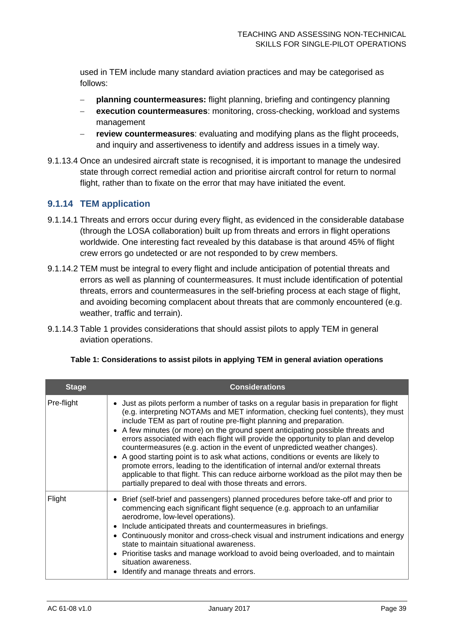used in TEM include many standard aviation practices and may be categorised as follows:

- − **planning countermeasures:** flight planning, briefing and contingency planning
- − **execution countermeasures**: monitoring, cross-checking, workload and systems management
- **review countermeasures:** evaluating and modifying plans as the flight proceeds, and inquiry and assertiveness to identify and address issues in a timely way.
- 9.1.13.4 Once an undesired aircraft state is recognised, it is important to manage the undesired state through correct remedial action and prioritise aircraft control for return to normal flight, rather than to fixate on the error that may have initiated the event.

### **9.1.14 TEM application**

- 9.1.14.1 Threats and errors occur during every flight, as evidenced in the considerable database (through the LOSA collaboration) built up from threats and errors in flight operations worldwide. One interesting fact revealed by this database is that around 45% of flight crew errors go undetected or are not responded to by crew members.
- 9.1.14.2 TEM must be integral to every flight and include anticipation of potential threats and errors as well as planning of countermeasures. It must include identification of potential threats, errors and countermeasures in the self-briefing process at each stage of flight, and avoiding becoming complacent about threats that are commonly encountered (e.g. weather, traffic and terrain).
- 9.1.14.3 [Table 1](#page-39-0) provides considerations that should assist pilots to apply TEM in general aviation operations.

| <b>Stage</b> | <b>Considerations</b>                                                                                                                                                                                                                                                                                                                                                                                                                                                                                                                                                                                                                                                                                                                                                                                                                                   |
|--------------|---------------------------------------------------------------------------------------------------------------------------------------------------------------------------------------------------------------------------------------------------------------------------------------------------------------------------------------------------------------------------------------------------------------------------------------------------------------------------------------------------------------------------------------------------------------------------------------------------------------------------------------------------------------------------------------------------------------------------------------------------------------------------------------------------------------------------------------------------------|
| Pre-flight   | • Just as pilots perform a number of tasks on a regular basis in preparation for flight<br>(e.g. interpreting NOTAMs and MET information, checking fuel contents), they must<br>include TEM as part of routine pre-flight planning and preparation.<br>• A few minutes (or more) on the ground spent anticipating possible threats and<br>errors associated with each flight will provide the opportunity to plan and develop<br>countermeasures (e.g. action in the event of unpredicted weather changes).<br>A good starting point is to ask what actions, conditions or events are likely to<br>$\bullet$<br>promote errors, leading to the identification of internal and/or external threats<br>applicable to that flight. This can reduce airborne workload as the pilot may then be<br>partially prepared to deal with those threats and errors. |
| Flight       | Brief (self-brief and passengers) planned procedures before take-off and prior to<br>commencing each significant flight sequence (e.g. approach to an unfamiliar<br>aerodrome, low-level operations).<br>Include anticipated threats and countermeasures in briefings.<br>Continuously monitor and cross-check visual and instrument indications and energy<br>state to maintain situational awareness.<br>Prioritise tasks and manage workload to avoid being overloaded, and to maintain<br>$\bullet$<br>situation awareness.<br>Identify and manage threats and errors.                                                                                                                                                                                                                                                                              |

<span id="page-39-0"></span>

| Table 1: Considerations to assist pilots in applying TEM in general aviation operations |  |
|-----------------------------------------------------------------------------------------|--|
|-----------------------------------------------------------------------------------------|--|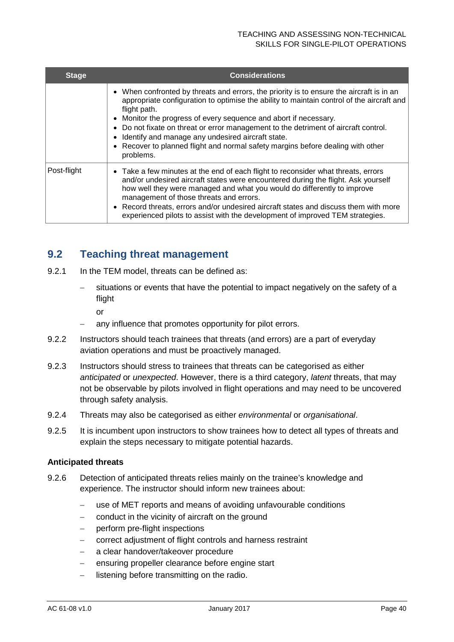### TEACHING AND ASSESSING NON-TECHNICAL SKILLS FOR SINGLE-PILOT OPERATIONS

| <b>Stage</b> | <b>Considerations</b>                                                                                                                                                                                                                                                                                                                                                                                                                                                                                                 |
|--------------|-----------------------------------------------------------------------------------------------------------------------------------------------------------------------------------------------------------------------------------------------------------------------------------------------------------------------------------------------------------------------------------------------------------------------------------------------------------------------------------------------------------------------|
|              | • When confronted by threats and errors, the priority is to ensure the aircraft is in an<br>appropriate configuration to optimise the ability to maintain control of the aircraft and<br>flight path.<br>• Monitor the progress of every sequence and abort if necessary.<br>• Do not fixate on threat or error management to the detriment of aircraft control.<br>Identify and manage any undesired aircraft state.<br>• Recover to planned flight and normal safety margins before dealing with other<br>problems. |
| Post-flight  | • Take a few minutes at the end of each flight to reconsider what threats, errors<br>and/or undesired aircraft states were encountered during the flight. Ask yourself<br>how well they were managed and what you would do differently to improve<br>management of those threats and errors.<br>• Record threats, errors and/or undesired aircraft states and discuss them with more<br>experienced pilots to assist with the development of improved TEM strategies.                                                 |

# <span id="page-40-0"></span>**9.2 Teaching threat management**

- 9.2.1 In the TEM model, threats can be defined as:
	- situations or events that have the potential to impact negatively on the safety of a flight
		- or
	- any influence that promotes opportunity for pilot errors.
- 9.2.2 Instructors should teach trainees that threats (and errors) are a part of everyday aviation operations and must be proactively managed.
- 9.2.3 Instructors should stress to trainees that threats can be categorised as either *anticipated* or *unexpected*. However, there is a third category, *latent* threats, that may not be observable by pilots involved in flight operations and may need to be uncovered through safety analysis.
- 9.2.4 Threats may also be categorised as either *environmental* or *organisational*.
- 9.2.5 It is incumbent upon instructors to show trainees how to detect all types of threats and explain the steps necessary to mitigate potential hazards.

### **Anticipated threats**

- 9.2.6 Detection of anticipated threats relies mainly on the trainee's knowledge and experience. The instructor should inform new trainees about:
	- − use of MET reports and means of avoiding unfavourable conditions
	- − conduct in the vicinity of aircraft on the ground
	- − perform pre-flight inspections
	- − correct adjustment of flight controls and harness restraint
	- − a clear handover/takeover procedure
	- − ensuring propeller clearance before engine start
	- − listening before transmitting on the radio.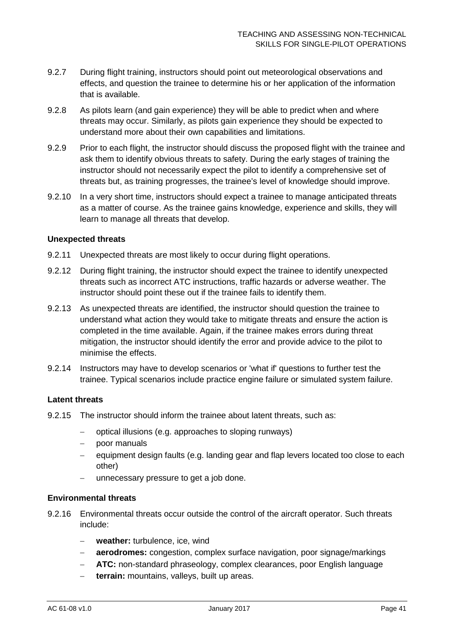- 9.2.7 During flight training, instructors should point out meteorological observations and effects, and question the trainee to determine his or her application of the information that is available.
- 9.2.8 As pilots learn (and gain experience) they will be able to predict when and where threats may occur. Similarly, as pilots gain experience they should be expected to understand more about their own capabilities and limitations.
- 9.2.9 Prior to each flight, the instructor should discuss the proposed flight with the trainee and ask them to identify obvious threats to safety. During the early stages of training the instructor should not necessarily expect the pilot to identify a comprehensive set of threats but, as training progresses, the trainee's level of knowledge should improve.
- 9.2.10 In a very short time, instructors should expect a trainee to manage anticipated threats as a matter of course. As the trainee gains knowledge, experience and skills, they will learn to manage all threats that develop.

### **Unexpected threats**

- 9.2.11 Unexpected threats are most likely to occur during flight operations.
- 9.2.12 During flight training, the instructor should expect the trainee to identify unexpected threats such as incorrect ATC instructions, traffic hazards or adverse weather. The instructor should point these out if the trainee fails to identify them.
- 9.2.13 As unexpected threats are identified, the instructor should question the trainee to understand what action they would take to mitigate threats and ensure the action is completed in the time available. Again, if the trainee makes errors during threat mitigation, the instructor should identify the error and provide advice to the pilot to minimise the effects.
- 9.2.14 Instructors may have to develop scenarios or 'what if' questions to further test the trainee. Typical scenarios include practice engine failure or simulated system failure.

### **Latent threats**

- 9.2.15 The instructor should inform the trainee about latent threats, such as:
	- − optical illusions (e.g. approaches to sloping runways)
	- poor manuals
	- − equipment design faults (e.g. landing gear and flap levers located too close to each other)
	- − unnecessary pressure to get a job done.

### **Environmental threats**

- 9.2.16 Environmental threats occur outside the control of the aircraft operator. Such threats include:
	- − **weather:** turbulence, ice, wind
	- − **aerodromes:** congestion, complex surface navigation, poor signage/markings
	- − **ATC:** non-standard phraseology, complex clearances, poor English language
	- terrain: mountains, valleys, built up areas.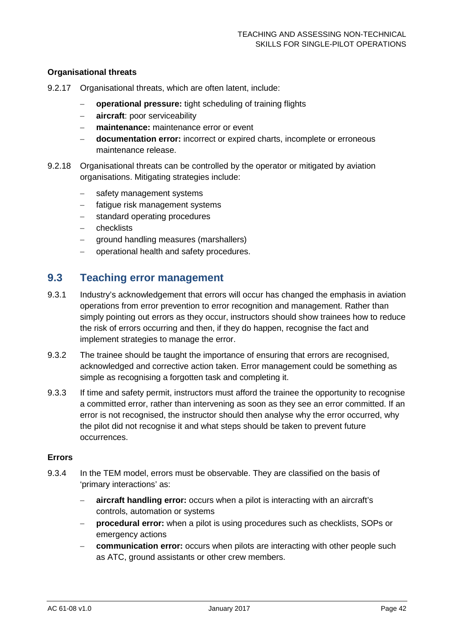### **Organisational threats**

- 9.2.17 Organisational threats, which are often latent, include:
	- − **operational pressure:** tight scheduling of training flights
	- − **aircraft**: poor serviceability
	- − **maintenance:** maintenance error or event
	- − **documentation error:** incorrect or expired charts, incomplete or erroneous maintenance release.
- 9.2.18 Organisational threats can be controlled by the operator or mitigated by aviation organisations. Mitigating strategies include:
	- − safety management systems
	- − fatigue risk management systems
	- − standard operating procedures
	- − checklists
	- − ground handling measures (marshallers)
	- − operational health and safety procedures.

### <span id="page-42-0"></span>**9.3 Teaching error management**

- 9.3.1 Industry's acknowledgement that errors will occur has changed the emphasis in aviation operations from error prevention to error recognition and management. Rather than simply pointing out errors as they occur, instructors should show trainees how to reduce the risk of errors occurring and then, if they do happen, recognise the fact and implement strategies to manage the error.
- 9.3.2 The trainee should be taught the importance of ensuring that errors are recognised, acknowledged and corrective action taken. Error management could be something as simple as recognising a forgotten task and completing it.
- 9.3.3 If time and safety permit, instructors must afford the trainee the opportunity to recognise a committed error, rather than intervening as soon as they see an error committed. If an error is not recognised, the instructor should then analyse why the error occurred, why the pilot did not recognise it and what steps should be taken to prevent future occurrences.

#### **Errors**

- 9.3.4 In the TEM model, errors must be observable. They are classified on the basis of 'primary interactions' as:
	- − **aircraft handling error:** occurs when a pilot is interacting with an aircraft's controls, automation or systems
	- − **procedural error:** when a pilot is using procedures such as checklists, SOPs or emergency actions
	- **communication error:** occurs when pilots are interacting with other people such as ATC, ground assistants or other crew members.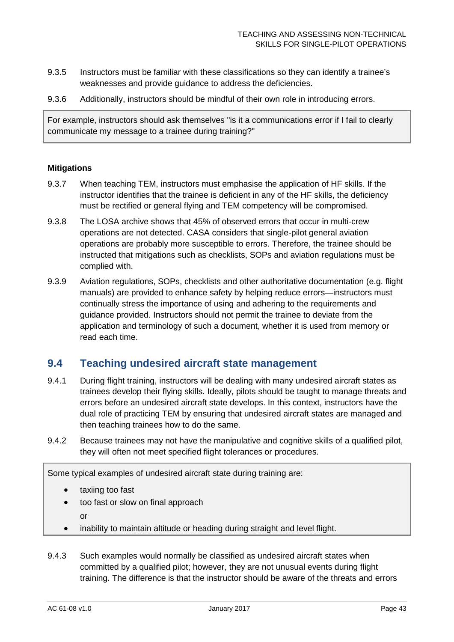- 9.3.5 Instructors must be familiar with these classifications so they can identify a trainee's weaknesses and provide guidance to address the deficiencies.
- 9.3.6 Additionally, instructors should be mindful of their own role in introducing errors.

For example, instructors should ask themselves "is it a communications error if I fail to clearly communicate my message to a trainee during training?"

### **Mitigations**

- 9.3.7 When teaching TEM, instructors must emphasise the application of HF skills. If the instructor identifies that the trainee is deficient in any of the HF skills, the deficiency must be rectified or general flying and TEM competency will be compromised.
- 9.3.8 The LOSA archive shows that 45% of observed errors that occur in multi-crew operations are not detected. CASA considers that single-pilot general aviation operations are probably more susceptible to errors. Therefore, the trainee should be instructed that mitigations such as checklists, SOPs and aviation regulations must be complied with.
- 9.3.9 Aviation regulations, SOPs, checklists and other authoritative documentation (e.g. flight manuals) are provided to enhance safety by helping reduce errors—instructors must continually stress the importance of using and adhering to the requirements and guidance provided. Instructors should not permit the trainee to deviate from the application and terminology of such a document, whether it is used from memory or read each time.

### <span id="page-43-0"></span>**9.4 Teaching undesired aircraft state management**

- 9.4.1 During flight training, instructors will be dealing with many undesired aircraft states as trainees develop their flying skills. Ideally, pilots should be taught to manage threats and errors before an undesired aircraft state develops. In this context, instructors have the dual role of practicing TEM by ensuring that undesired aircraft states are managed and then teaching trainees how to do the same.
- 9.4.2 Because trainees may not have the manipulative and cognitive skills of a qualified pilot, they will often not meet specified flight tolerances or procedures.

Some typical examples of undesired aircraft state during training are:

- taxiing too fast
- too fast or slow on final approach
	- or
- inability to maintain altitude or heading during straight and level flight.
- 9.4.3 Such examples would normally be classified as undesired aircraft states when committed by a qualified pilot; however, they are not unusual events during flight training. The difference is that the instructor should be aware of the threats and errors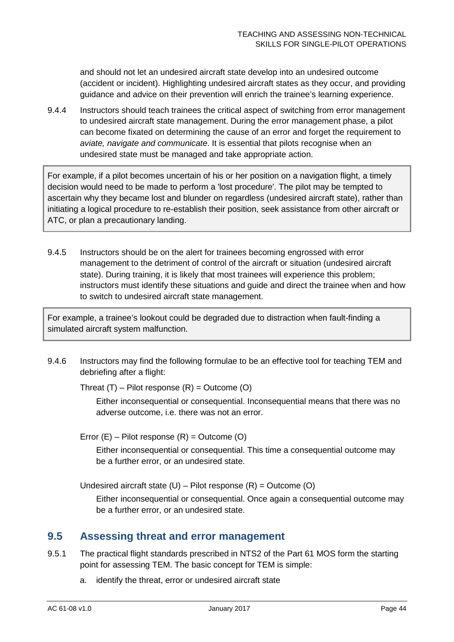and should not let an undesired aircraft state develop into an undesired outcome (accident or incident). Highlighting undesired aircraft states as they occur, and providing guidance and advice on their prevention will enrich the trainee's learning experience.

9.4.4 Instructors should teach trainees the critical aspect of switching from error management to undesired aircraft state management. During the error management phase, a pilot can become fixated on determining the cause of an error and forget the requirement to *aviate, navigate and communicate*. It is essential that pilots recognise when an undesired state must be managed and take appropriate action.

For example, if a pilot becomes uncertain of his or her position on a navigation flight, a timely decision would need to be made to perform a 'lost procedure'. The pilot may be tempted to ascertain why they became lost and blunder on regardless (undesired aircraft state), rather than initiating a logical procedure to re-establish their position, seek assistance from other aircraft or ATC, or plan a precautionary landing.

9.4.5 Instructors should be on the alert for trainees becoming engrossed with error management to the detriment of control of the aircraft or situation (undesired aircraft state). During training, it is likely that most trainees will experience this problem; instructors must identify these situations and guide and direct the trainee when and how to switch to undesired aircraft state management.

For example, a trainee's lookout could be degraded due to distraction when fault-finding a simulated aircraft system malfunction.

9.4.6 Instructors may find the following formulae to be an effective tool for teaching TEM and debriefing after a flight:

Threat  $(T)$  – Pilot response  $(R)$  = Outcome  $(O)$ 

Either inconsequential or consequential. Inconsequential means that there was no adverse outcome, i.e. there was not an error.

Error  $(E)$  – Pilot response  $(R)$  = Outcome  $(O)$ 

Either inconsequential or consequential. This time a consequential outcome may be a further error, or an undesired state.

Undesired aircraft state  $(U)$  – Pilot response  $(R)$  = Outcome  $(O)$ 

Either inconsequential or consequential. Once again a consequential outcome may be a further error, or an undesired state.

# <span id="page-44-0"></span>**9.5 Assessing threat and error management**

- 9.5.1 The practical flight standards prescribed in NTS2 of the Part 61 MOS form the starting point for assessing TEM. The basic concept for TEM is simple:
	- a. identify the threat, error or undesired aircraft state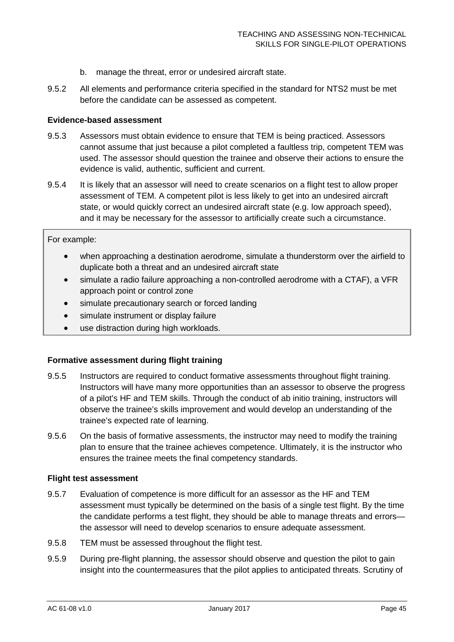- b. manage the threat, error or undesired aircraft state.
- 9.5.2 All elements and performance criteria specified in the standard for NTS2 must be met before the candidate can be assessed as competent.

#### **Evidence-based assessment**

- 9.5.3 Assessors must obtain evidence to ensure that TEM is being practiced. Assessors cannot assume that just because a pilot completed a faultless trip, competent TEM was used. The assessor should question the trainee and observe their actions to ensure the evidence is valid, authentic, sufficient and current.
- 9.5.4 It is likely that an assessor will need to create scenarios on a flight test to allow proper assessment of TEM. A competent pilot is less likely to get into an undesired aircraft state, or would quickly correct an undesired aircraft state (e.g. low approach speed), and it may be necessary for the assessor to artificially create such a circumstance.

#### For example:

- when approaching a destination aerodrome, simulate a thunderstorm over the airfield to duplicate both a threat and an undesired aircraft state
- simulate a radio failure approaching a non-controlled aerodrome with a CTAF), a VFR approach point or control zone
- simulate precautionary search or forced landing
- simulate instrument or display failure
- use distraction during high workloads.

#### **Formative assessment during flight training**

- 9.5.5 Instructors are required to conduct formative assessments throughout flight training. Instructors will have many more opportunities than an assessor to observe the progress of a pilot's HF and TEM skills. Through the conduct of ab initio training, instructors will observe the trainee's skills improvement and would develop an understanding of the trainee's expected rate of learning.
- 9.5.6 On the basis of formative assessments, the instructor may need to modify the training plan to ensure that the trainee achieves competence. Ultimately, it is the instructor who ensures the trainee meets the final competency standards.

#### **Flight test assessment**

- 9.5.7 Evaluation of competence is more difficult for an assessor as the HF and TEM assessment must typically be determined on the basis of a single test flight. By the time the candidate performs a test flight, they should be able to manage threats and errors the assessor will need to develop scenarios to ensure adequate assessment.
- 9.5.8 TEM must be assessed throughout the flight test.
- 9.5.9 During pre-flight planning, the assessor should observe and question the pilot to gain insight into the countermeasures that the pilot applies to anticipated threats. Scrutiny of